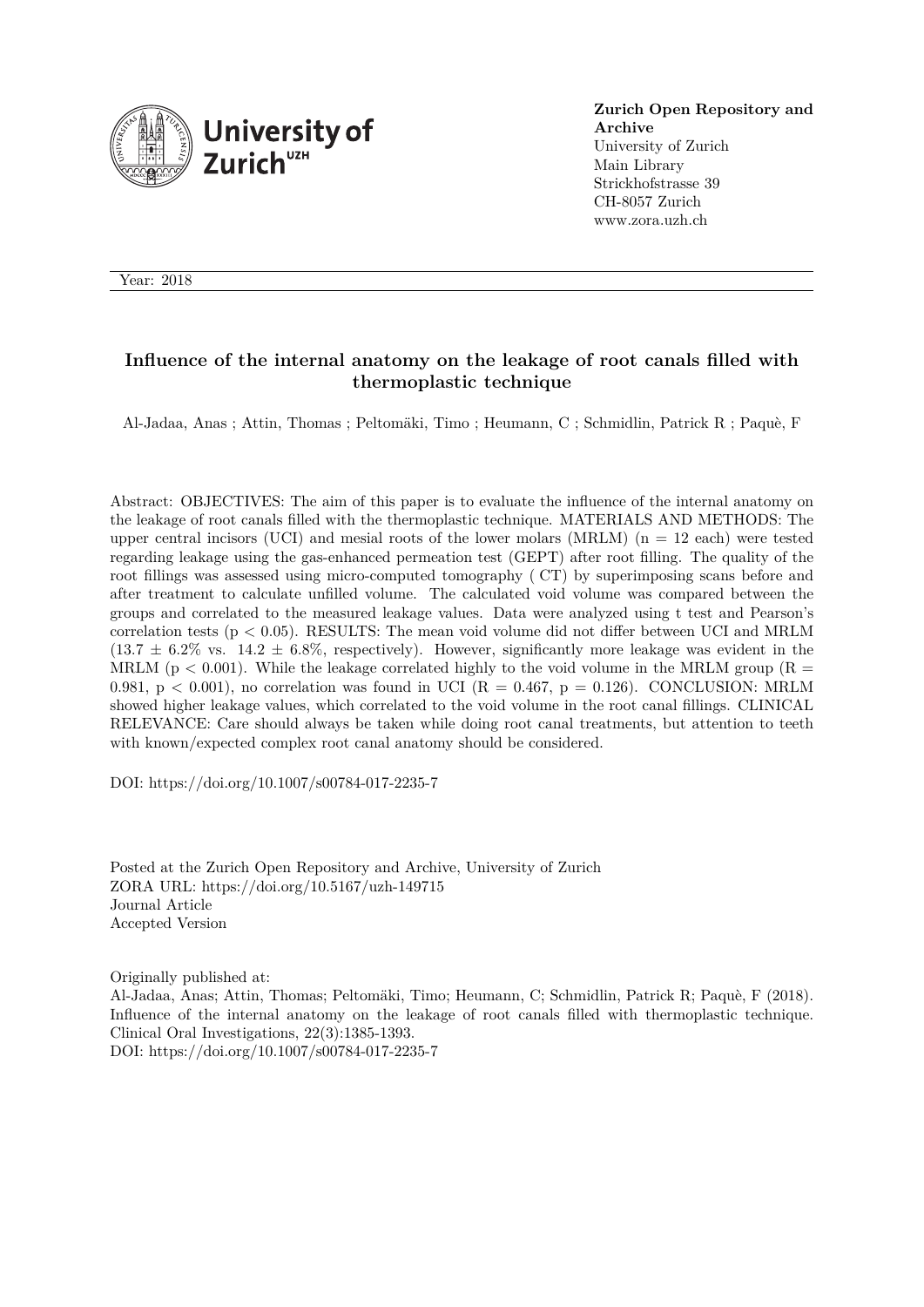

**Zurich Open Repository and Archive** University of Zurich Main Library Strickhofstrasse 39 CH-8057 Zurich www.zora.uzh.ch

Year: 2018

# **Influence of the internal anatomy on the leakage of root canals filled with thermoplastic technique**

Al-Jadaa, Anas ; Attin, Thomas ; Peltomäki, Timo ; Heumann, C ; Schmidlin, Patrick R ; Paquè, F

Abstract: OBJECTIVES: The aim of this paper is to evaluate the influence of the internal anatomy on the leakage of root canals filled with the thermoplastic technique. MATERIALS AND METHODS: The upper central incisors (UCI) and mesial roots of the lower molars (MRLM)  $(n = 12 \text{ each})$  were tested regarding leakage using the gas-enhanced permeation test (GEPT) after root filling. The quality of the root fillings was assessed using micro-computed tomography (CT) by superimposing scans before and after treatment to calculate unfilled volume. The calculated void volume was compared between the groups and correlated to the measured leakage values. Data were analyzed using t test and Pearson's correlation tests ( $p < 0.05$ ). RESULTS: The mean void volume did not differ between UCI and MRLM  $(13.7 \pm 6.2\% \text{ vs. } 14.2 \pm 6.8\%, \text{ respectively}).$  However, significantly more leakage was evident in the MRLM ( $p < 0.001$ ). While the leakage correlated highly to the void volume in the MRLM group ( $R =$ 0.981,  $p < 0.001$ ), no correlation was found in UCI ( $R = 0.467$ ,  $p = 0.126$ ). CONCLUSION: MRLM showed higher leakage values, which correlated to the void volume in the root canal fillings. CLINICAL RELEVANCE: Care should always be taken while doing root canal treatments, but attention to teeth with known/expected complex root canal anatomy should be considered.

DOI: https://doi.org/10.1007/s00784-017-2235-7

Posted at the Zurich Open Repository and Archive, University of Zurich ZORA URL: https://doi.org/10.5167/uzh-149715 Journal Article Accepted Version

Originally published at:

Al-Jadaa, Anas; Attin, Thomas; Peltomäki, Timo; Heumann, C; Schmidlin, Patrick R; Paquè, F (2018). Influence of the internal anatomy on the leakage of root canals filled with thermoplastic technique. Clinical Oral Investigations, 22(3):1385-1393. DOI: https://doi.org/10.1007/s00784-017-2235-7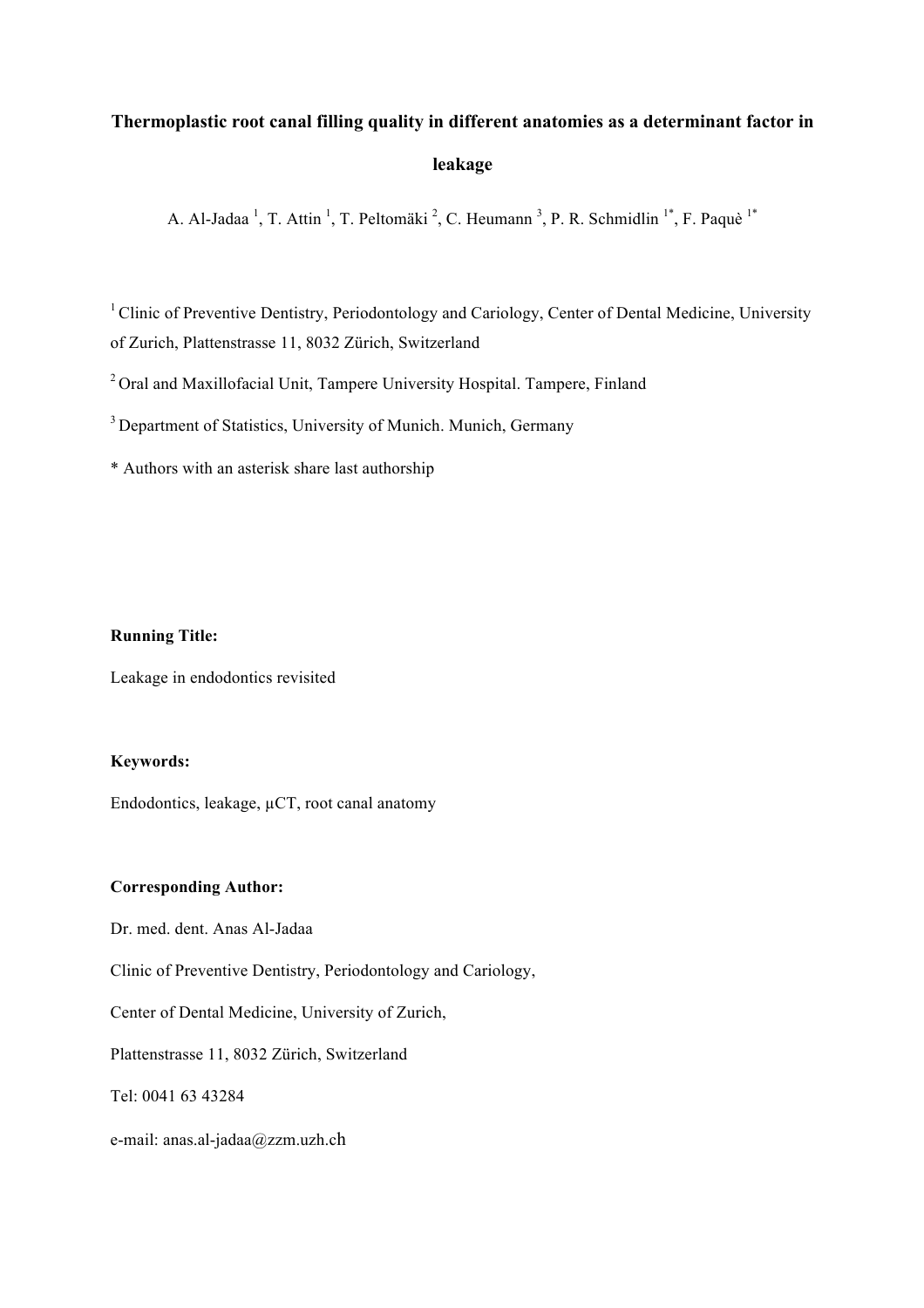# **Thermoplastic root canal filling quality in different anatomies as a determinant factor in leakage**

A. Al-Jadaa<sup>1</sup>, T. Attin<sup>1</sup>, T. Peltomäki<sup>2</sup>, C. Heumann<sup>3</sup>, P. R. Schmidlin<sup>1\*</sup>, F. Paquè<sup>1\*</sup>

<sup>1</sup> Clinic of Preventive Dentistry, Periodontology and Cariology, Center of Dental Medicine, University of Zurich, Plattenstrasse 11, 8032 Zürich, Switzerland

<sup>2</sup> Oral and Maxillofacial Unit, Tampere University Hospital. Tampere, Finland

<sup>3</sup> Department of Statistics, University of Munich. Munich, Germany

\* Authors with an asterisk share last authorship

#### **Running Title:**

Leakage in endodontics revisited

#### **Keywords:**

Endodontics, leakage,  $\mu$ CT, root canal anatomy

#### **Corresponding Author:**

Dr. med. dent. Anas Al-Jadaa

Clinic of Preventive Dentistry, Periodontology and Cariology,

Center of Dental Medicine, University of Zurich,

Plattenstrasse 11, 8032 Zürich, Switzerland

Tel: 0041 63 43284

e-mail: anas.al-jadaa@zzm.uzh.ch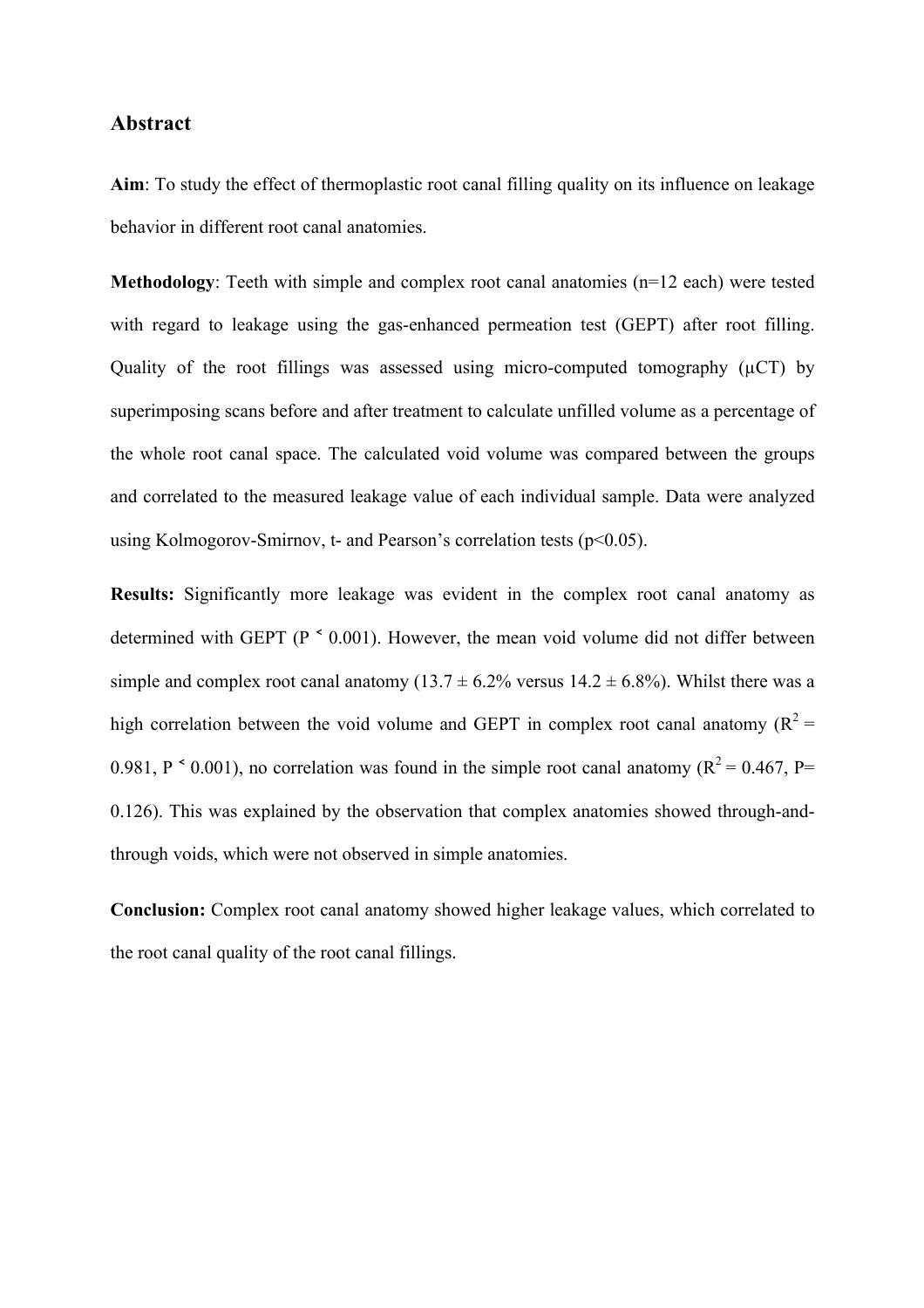# **Abstract**

**Aim**: To study the effect of thermoplastic root canal filling quality on its influence on leakage behavior in different root canal anatomies.

**Methodology**: Teeth with simple and complex root canal anatomies (n=12 each) were tested with regard to leakage using the gas-enhanced permeation test (GEPT) after root filling. Quality of the root fillings was assessed using micro-computed tomography (µCT) by superimposing scans before and after treatment to calculate unfilled volume as a percentage of the whole root canal space. The calculated void volume was compared between the groups and correlated to the measured leakage value of each individual sample. Data were analyzed using Kolmogorov-Smirnov, t- and Pearson's correlation tests ( $p<0.05$ ).

**Results:** Significantly more leakage was evident in the complex root canal anatomy as determined with GEPT (P  $\leq$  0.001). However, the mean void volume did not differ between simple and complex root canal anatomy (13.7  $\pm$  6.2% versus 14.2  $\pm$  6.8%). Whilst there was a high correlation between the void volume and GEPT in complex root canal anatomy ( $R^2$  = 0.981, P  $\leq$  0.001), no correlation was found in the simple root canal anatomy ( $R^2$  = 0.467, P= 0.126). This was explained by the observation that complex anatomies showed through-andthrough voids, which were not observed in simple anatomies.

**Conclusion:** Complex root canal anatomy showed higher leakage values, which correlated to the root canal quality of the root canal fillings.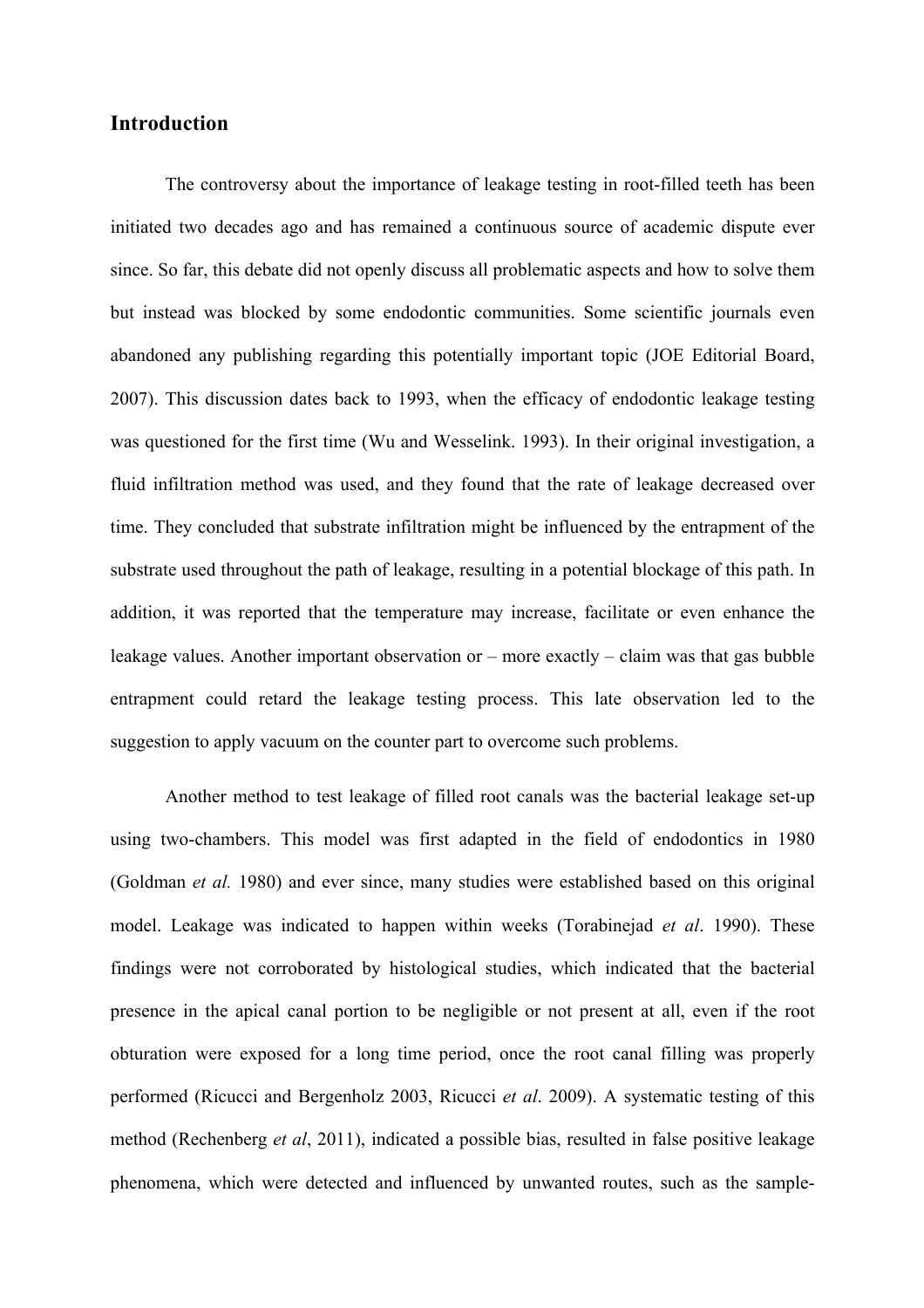# **Introduction**

The controversy about the importance of leakage testing in root-filled teeth has been initiated two decades ago and has remained a continuous source of academic dispute ever since. So far, this debate did not openly discuss all problematic aspects and how to solve them but instead was blocked by some endodontic communities. Some scientific journals even abandoned any publishing regarding this potentially important topic (JOE Editorial Board, 2007). This discussion dates back to 1993, when the efficacy of endodontic leakage testing was questioned for the first time (Wu and Wesselink. 1993). In their original investigation, a fluid infiltration method was used, and they found that the rate of leakage decreased over time. They concluded that substrate infiltration might be influenced by the entrapment of the substrate used throughout the path of leakage, resulting in a potential blockage of this path. In addition, it was reported that the temperature may increase, facilitate or even enhance the leakage values. Another important observation or – more exactly – claim was that gas bubble entrapment could retard the leakage testing process. This late observation led to the suggestion to apply vacuum on the counter part to overcome such problems.

Another method to test leakage of filled root canals was the bacterial leakage set-up using two-chambers. This model was first adapted in the field of endodontics in 1980 (Goldman *et al.* 1980) and ever since, many studies were established based on this original model. Leakage was indicated to happen within weeks (Torabinejad *et al*. 1990). These findings were not corroborated by histological studies, which indicated that the bacterial presence in the apical canal portion to be negligible or not present at all, even if the root obturation were exposed for a long time period, once the root canal filling was properly performed (Ricucci and Bergenholz 2003, Ricucci *et al*. 2009). A systematic testing of this method (Rechenberg *et al*, 2011), indicated a possible bias, resulted in false positive leakage phenomena, which were detected and influenced by unwanted routes, such as the sample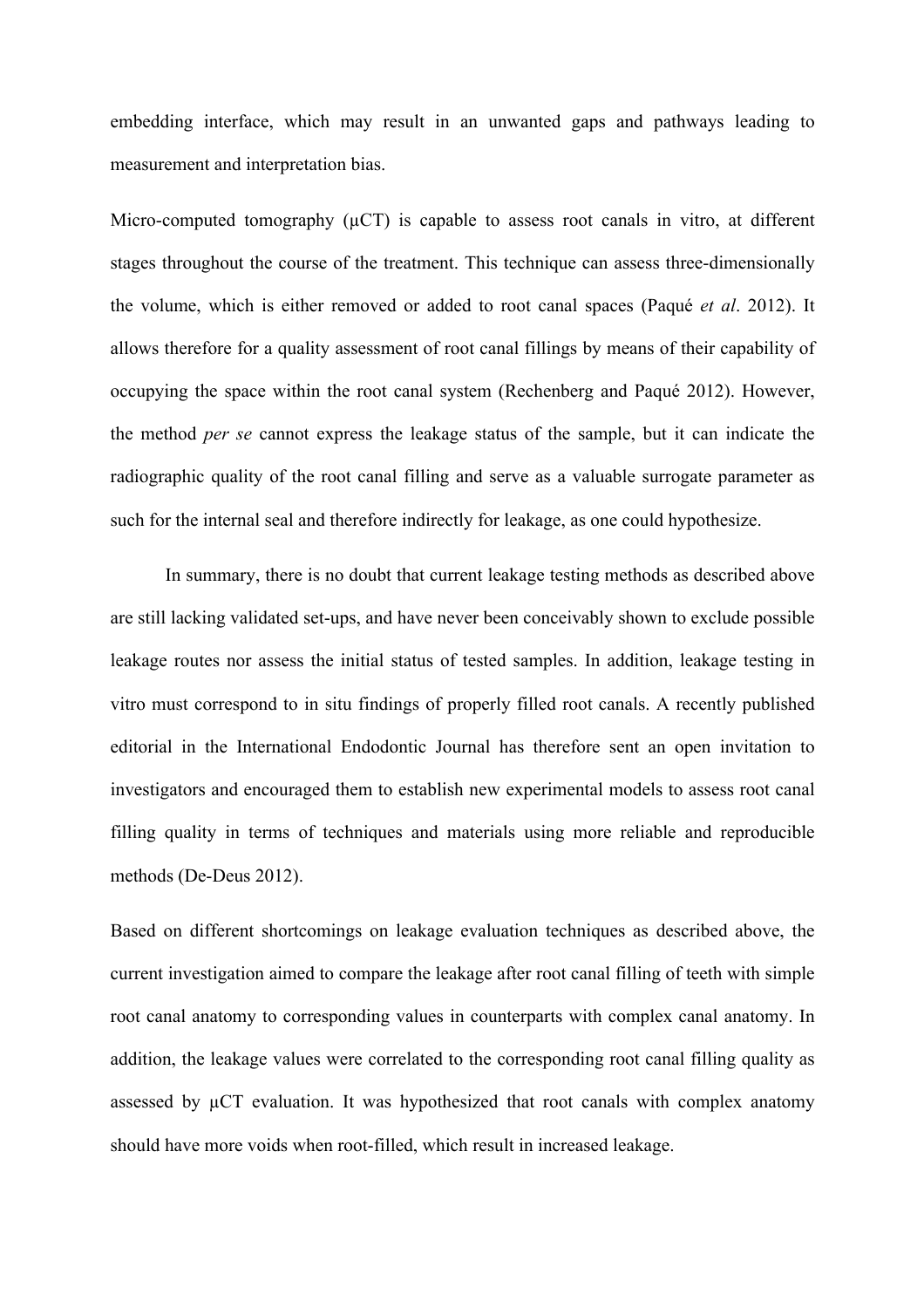embedding interface, which may result in an unwanted gaps and pathways leading to measurement and interpretation bias.

Micro-computed tomography  $(\mu$ CT) is capable to assess root canals in vitro, at different stages throughout the course of the treatment. This technique can assess three-dimensionally the volume, which is either removed or added to root canal spaces (Paqué *et al*. 2012). It allows therefore for a quality assessment of root canal fillings by means of their capability of occupying the space within the root canal system (Rechenberg and Paqué 2012). However, the method *per se* cannot express the leakage status of the sample, but it can indicate the radiographic quality of the root canal filling and serve as a valuable surrogate parameter as such for the internal seal and therefore indirectly for leakage, as one could hypothesize.

In summary, there is no doubt that current leakage testing methods as described above are still lacking validated set-ups, and have never been conceivably shown to exclude possible leakage routes nor assess the initial status of tested samples. In addition, leakage testing in vitro must correspond to in situ findings of properly filled root canals. A recently published editorial in the International Endodontic Journal has therefore sent an open invitation to investigators and encouraged them to establish new experimental models to assess root canal filling quality in terms of techniques and materials using more reliable and reproducible methods (De-Deus 2012).

Based on different shortcomings on leakage evaluation techniques as described above, the current investigation aimed to compare the leakage after root canal filling of teeth with simple root canal anatomy to corresponding values in counterparts with complex canal anatomy. In addition, the leakage values were correlated to the corresponding root canal filling quality as assessed by µCT evaluation. It was hypothesized that root canals with complex anatomy should have more voids when root-filled, which result in increased leakage.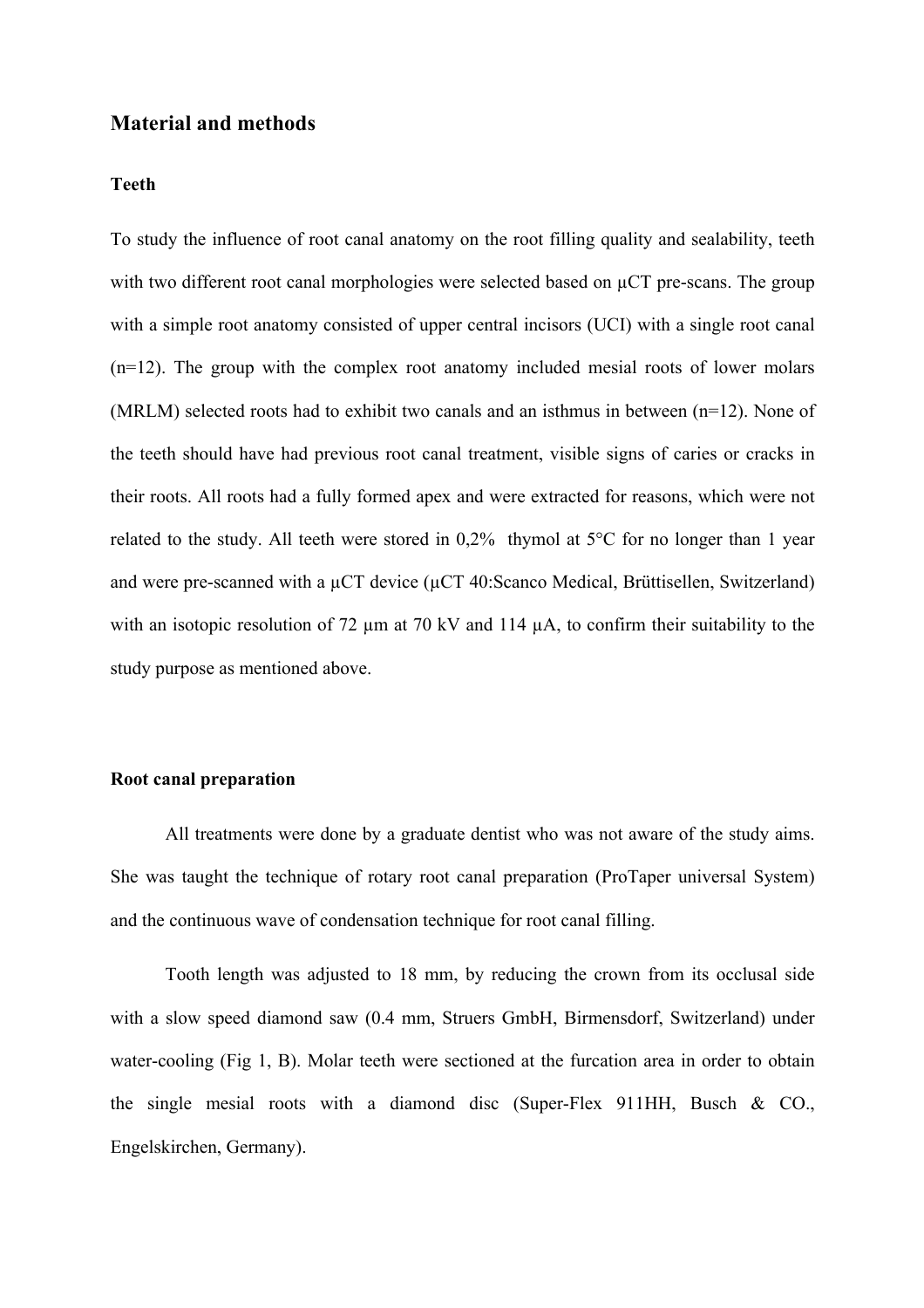## **Material and methods**

#### **Teeth**

To study the influence of root canal anatomy on the root filling quality and sealability, teeth with two different root canal morphologies were selected based on  $\mu$ CT pre-scans. The group with a simple root anatomy consisted of upper central incisors (UCI) with a single root canal (n=12). The group with the complex root anatomy included mesial roots of lower molars (MRLM) selected roots had to exhibit two canals and an isthmus in between (n=12). None of the teeth should have had previous root canal treatment, visible signs of caries or cracks in their roots. All roots had a fully formed apex and were extracted for reasons, which were not related to the study. All teeth were stored in 0,2% thymol at 5°C for no longer than 1 year and were pre-scanned with a  $\mu$ CT device ( $\mu$ CT 40:Scanco Medical, Brüttisellen, Switzerland) with an isotopic resolution of 72  $\mu$ m at 70 kV and 114  $\mu$ A, to confirm their suitability to the study purpose as mentioned above.

# **Root canal preparation**

All treatments were done by a graduate dentist who was not aware of the study aims. She was taught the technique of rotary root canal preparation (ProTaper universal System) and the continuous wave of condensation technique for root canal filling.

Tooth length was adjusted to 18 mm, by reducing the crown from its occlusal side with a slow speed diamond saw (0.4 mm, Struers GmbH, Birmensdorf, Switzerland) under water-cooling (Fig 1, B). Molar teeth were sectioned at the furcation area in order to obtain the single mesial roots with a diamond disc (Super-Flex 911HH, Busch & CO., Engelskirchen, Germany).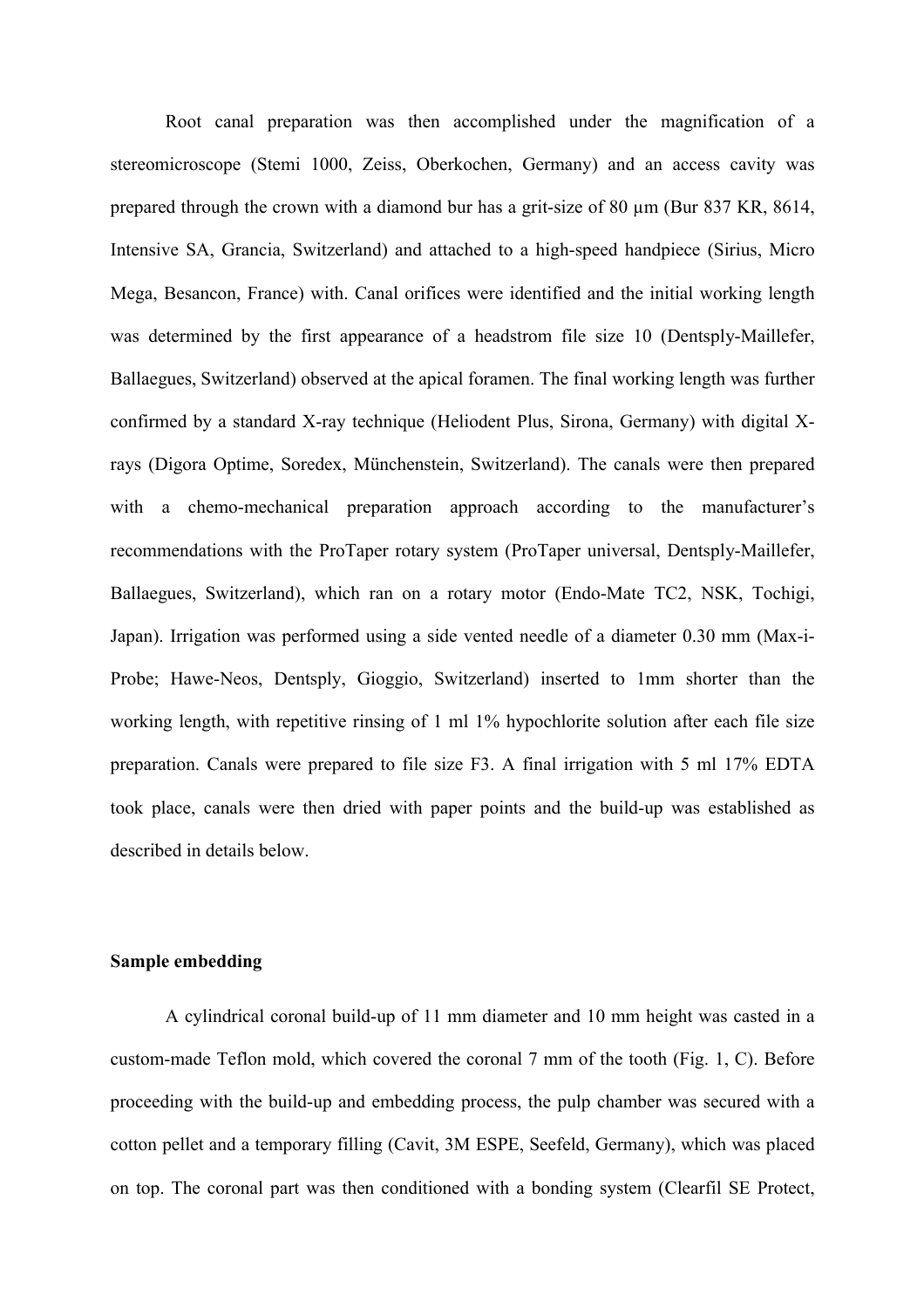Root canal preparation was then accomplished under the magnification of a stereomicroscope (Stemi 1000, Zeiss, Oberkochen, Germany) and an access cavity was prepared through the crown with a diamond bur has a grit-size of 80  $\mu$ m (Bur 837 KR, 8614, Intensive SA, Grancia, Switzerland) and attached to a high-speed handpiece (Sirius, Micro Mega, Besancon, France) with. Canal orifices were identified and the initial working length was determined by the first appearance of a headstrom file size 10 (Dentsply-Maillefer, Ballaegues, Switzerland) observed at the apical foramen. The final working length was further confirmed by a standard X-ray technique (Heliodent Plus, Sirona, Germany) with digital Xrays (Digora Optime, Soredex, Münchenstein, Switzerland). The canals were then prepared with a chemo-mechanical preparation approach according to the manufacturer's recommendations with the ProTaper rotary system (ProTaper universal, Dentsply-Maillefer, Ballaegues, Switzerland), which ran on a rotary motor (Endo-Mate TC2, NSK, Tochigi, Japan). Irrigation was performed using a side vented needle of a diameter 0.30 mm (Max-i-Probe; Hawe-Neos, Dentsply, Gioggio, Switzerland) inserted to 1mm shorter than the working length, with repetitive rinsing of 1 ml 1% hypochlorite solution after each file size preparation. Canals were prepared to file size F3. A final irrigation with 5 ml 17% EDTA took place, canals were then dried with paper points and the build-up was established as described in details below.

## **Sample embedding**

A cylindrical coronal build-up of 11 mm diameter and 10 mm height was casted in a custom-made Teflon mold, which covered the coronal 7 mm of the tooth (Fig. 1, C). Before proceeding with the build-up and embedding process, the pulp chamber was secured with a cotton pellet and a temporary filling (Cavit, 3M ESPE, Seefeld, Germany), which was placed on top. The coronal part was then conditioned with a bonding system (Clearfil SE Protect,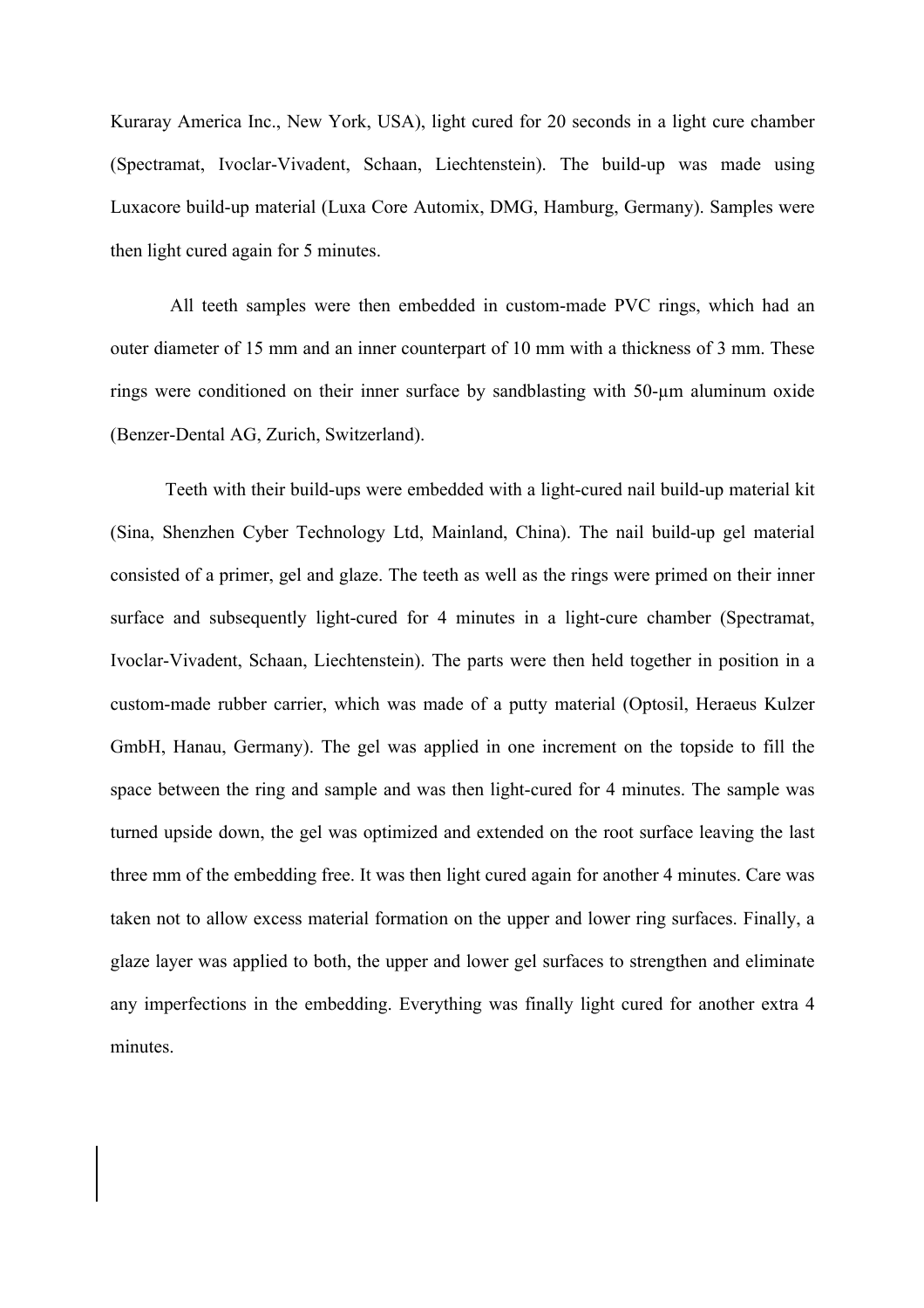Kuraray America Inc., New York, USA), light cured for 20 seconds in a light cure chamber (Spectramat, Ivoclar-Vivadent, Schaan, Liechtenstein). The build-up was made using Luxacore build-up material (Luxa Core Automix, DMG, Hamburg, Germany). Samples were then light cured again for 5 minutes.

 All teeth samples were then embedded in custom-made PVC rings, which had an outer diameter of 15 mm and an inner counterpart of 10 mm with a thickness of 3 mm. These rings were conditioned on their inner surface by sandblasting with 50-µm aluminum oxide (Benzer-Dental AG, Zurich, Switzerland).

Teeth with their build-ups were embedded with a light-cured nail build-up material kit (Sina, Shenzhen Cyber Technology Ltd, Mainland, China). The nail build-up gel material consisted of a primer, gel and glaze. The teeth as well as the rings were primed on their inner surface and subsequently light-cured for 4 minutes in a light-cure chamber (Spectramat, Ivoclar-Vivadent, Schaan, Liechtenstein). The parts were then held together in position in a custom-made rubber carrier, which was made of a putty material (Optosil, Heraeus Kulzer GmbH, Hanau, Germany). The gel was applied in one increment on the topside to fill the space between the ring and sample and was then light-cured for 4 minutes. The sample was turned upside down, the gel was optimized and extended on the root surface leaving the last three mm of the embedding free. It was then light cured again for another 4 minutes. Care was taken not to allow excess material formation on the upper and lower ring surfaces. Finally, a glaze layer was applied to both, the upper and lower gel surfaces to strengthen and eliminate any imperfections in the embedding. Everything was finally light cured for another extra 4 minutes.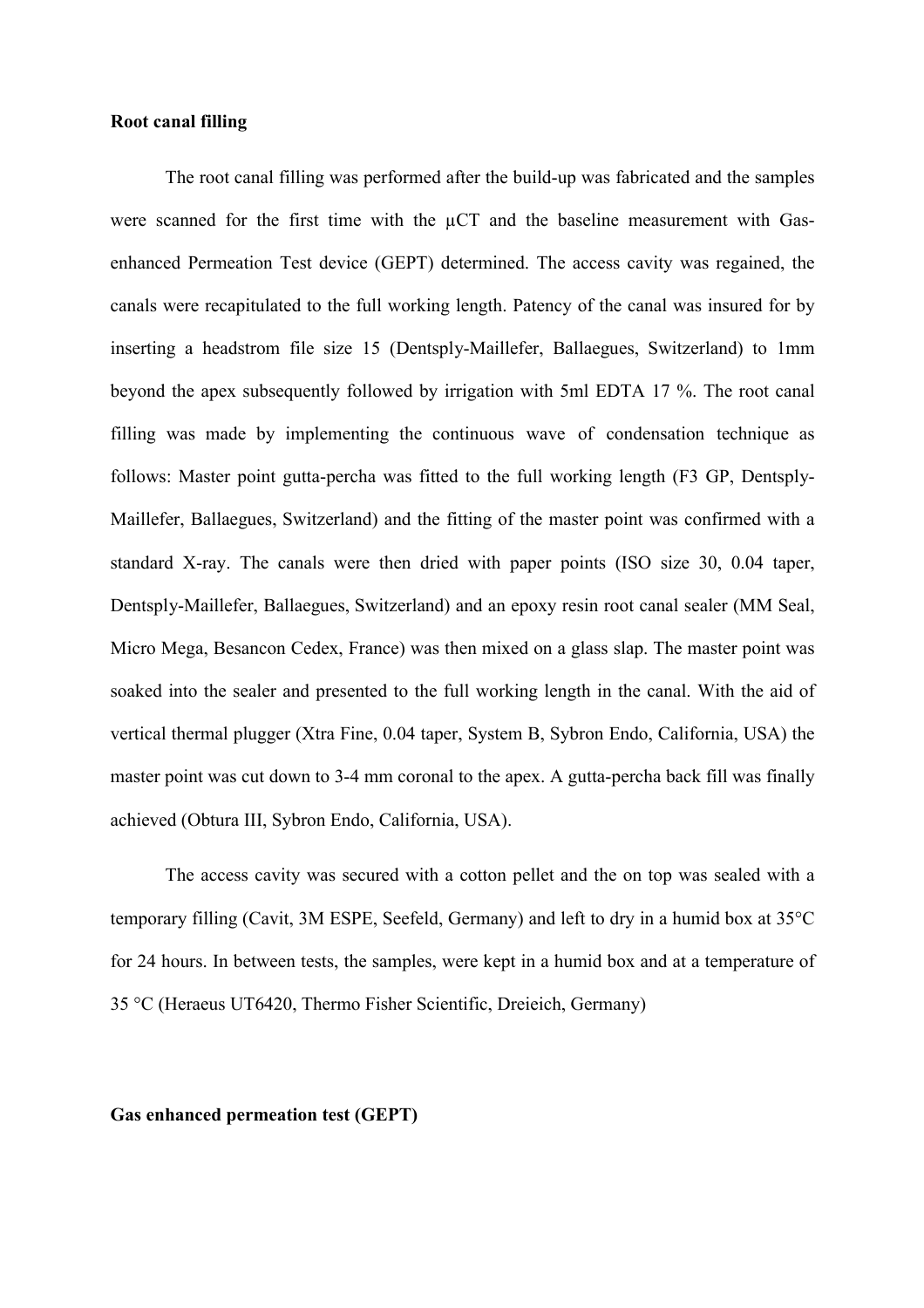#### **Root canal filling**

The root canal filling was performed after the build-up was fabricated and the samples were scanned for the first time with the  $\mu$ CT and the baseline measurement with Gasenhanced Permeation Test device (GEPT) determined. The access cavity was regained, the canals were recapitulated to the full working length. Patency of the canal was insured for by inserting a headstrom file size 15 (Dentsply-Maillefer, Ballaegues, Switzerland) to 1mm beyond the apex subsequently followed by irrigation with 5ml EDTA 17 %. The root canal filling was made by implementing the continuous wave of condensation technique as follows: Master point gutta-percha was fitted to the full working length (F3 GP, Dentsply-Maillefer, Ballaegues, Switzerland) and the fitting of the master point was confirmed with a standard X-ray. The canals were then dried with paper points (ISO size 30, 0.04 taper, Dentsply-Maillefer, Ballaegues, Switzerland) and an epoxy resin root canal sealer (MM Seal, Micro Mega, Besancon Cedex, France) was then mixed on a glass slap. The master point was soaked into the sealer and presented to the full working length in the canal. With the aid of vertical thermal plugger (Xtra Fine, 0.04 taper, System B, Sybron Endo, California, USA) the master point was cut down to 3-4 mm coronal to the apex. A gutta-percha back fill was finally achieved (Obtura III, Sybron Endo, California, USA).

The access cavity was secured with a cotton pellet and the on top was sealed with a temporary filling (Cavit, 3M ESPE, Seefeld, Germany) and left to dry in a humid box at 35°C for 24 hours. In between tests, the samples, were kept in a humid box and at a temperature of 35 °C (Heraeus UT6420, Thermo Fisher Scientific, Dreieich, Germany)

## **Gas enhanced permeation test (GEPT)**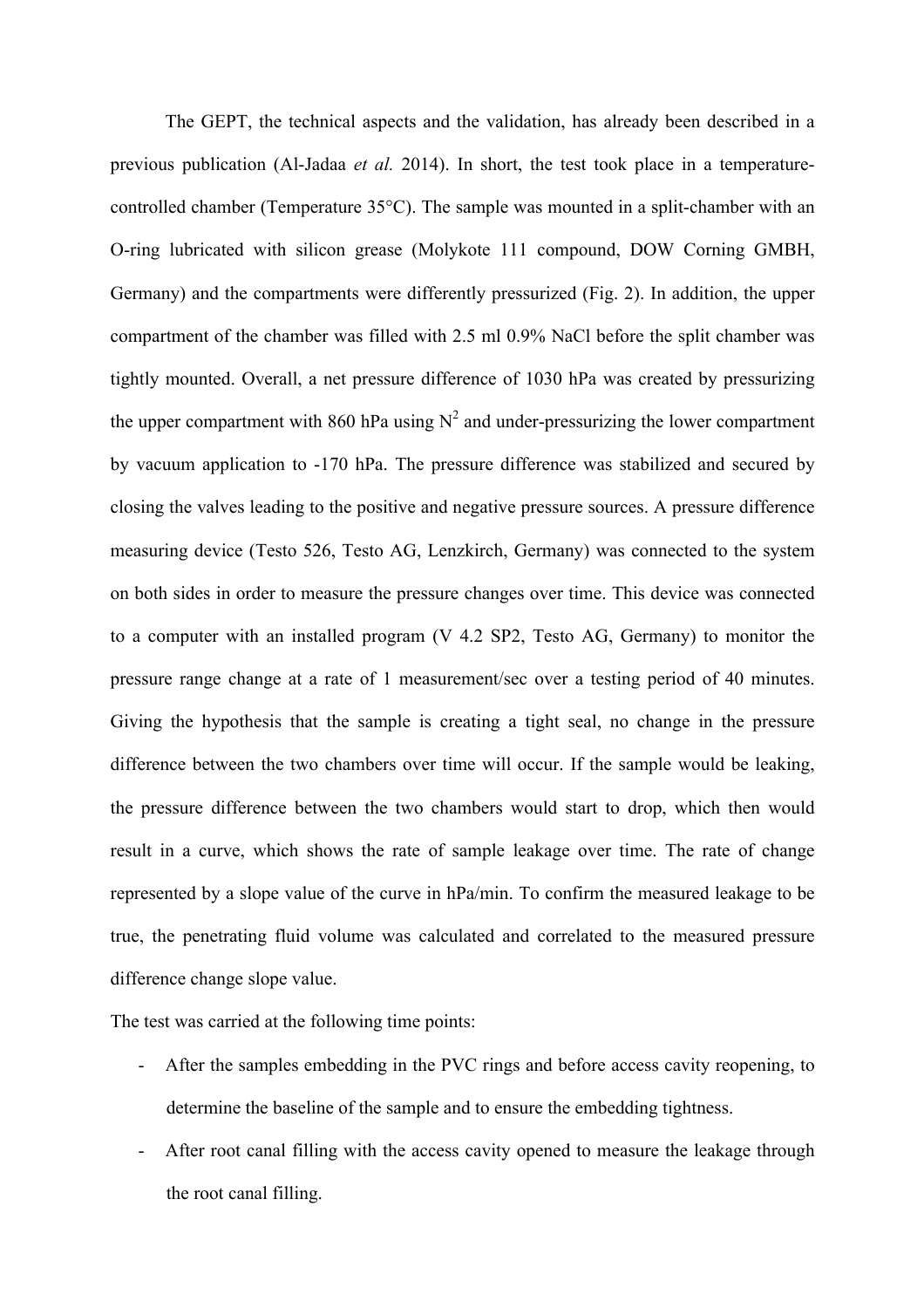The GEPT, the technical aspects and the validation, has already been described in a previous publication (Al-Jadaa *et al.* 2014). In short, the test took place in a temperaturecontrolled chamber (Temperature 35°C). The sample was mounted in a split-chamber with an O-ring lubricated with silicon grease (Molykote 111 compound, DOW Corning GMBH, Germany) and the compartments were differently pressurized (Fig. 2). In addition, the upper compartment of the chamber was filled with 2.5 ml 0.9% NaCl before the split chamber was tightly mounted. Overall, a net pressure difference of 1030 hPa was created by pressurizing the upper compartment with 860 hPa using  $N^2$  and under-pressurizing the lower compartment by vacuum application to -170 hPa. The pressure difference was stabilized and secured by closing the valves leading to the positive and negative pressure sources. A pressure difference measuring device (Testo 526, Testo AG, Lenzkirch, Germany) was connected to the system on both sides in order to measure the pressure changes over time. This device was connected to a computer with an installed program (V 4.2 SP2, Testo AG, Germany) to monitor the pressure range change at a rate of 1 measurement/sec over a testing period of 40 minutes. Giving the hypothesis that the sample is creating a tight seal, no change in the pressure difference between the two chambers over time will occur. If the sample would be leaking, the pressure difference between the two chambers would start to drop, which then would result in a curve, which shows the rate of sample leakage over time. The rate of change represented by a slope value of the curve in hPa/min. To confirm the measured leakage to be true, the penetrating fluid volume was calculated and correlated to the measured pressure difference change slope value.

The test was carried at the following time points:

- After the samples embedding in the PVC rings and before access cavity reopening, to determine the baseline of the sample and to ensure the embedding tightness.
- After root canal filling with the access cavity opened to measure the leakage through the root canal filling.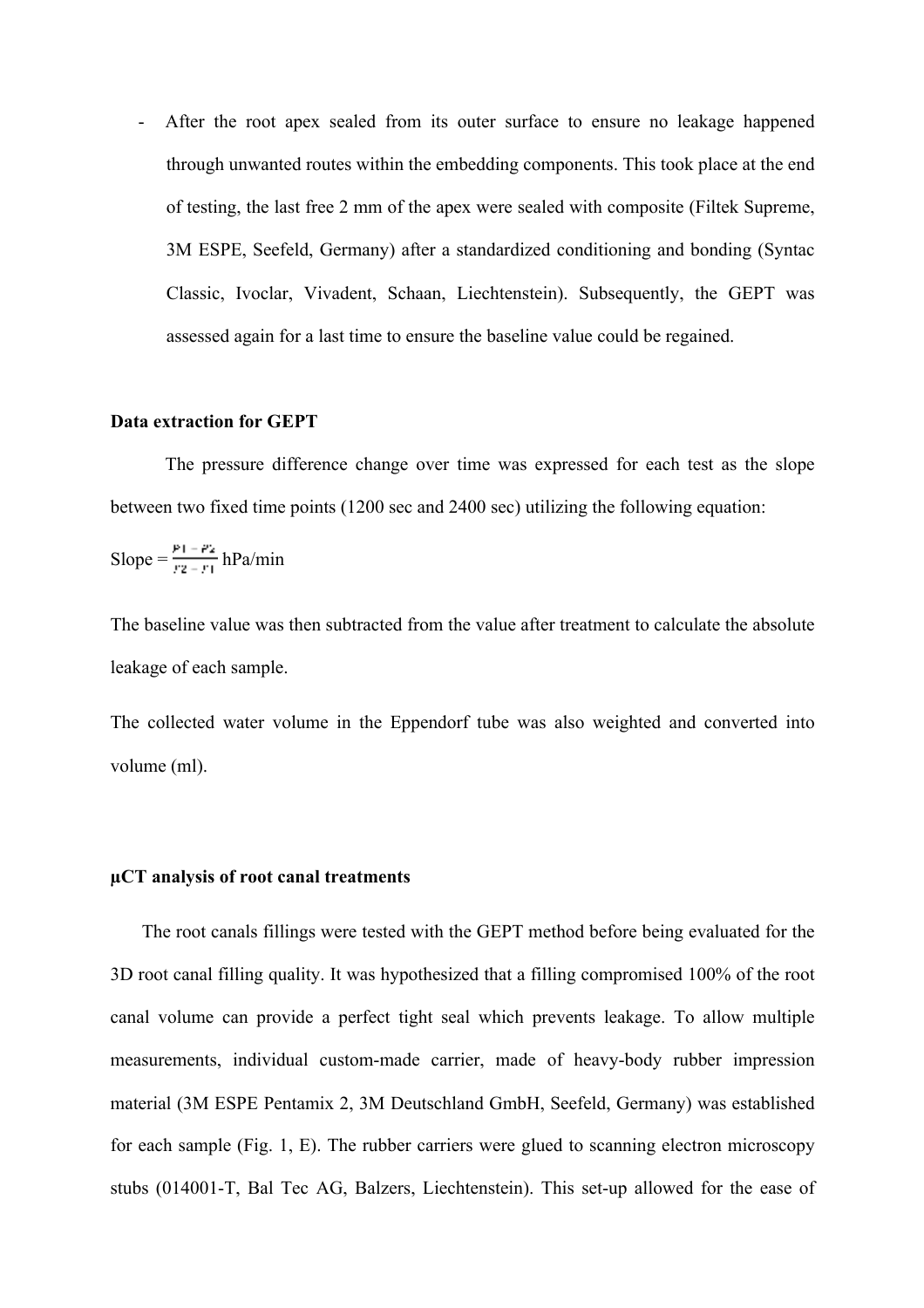After the root apex sealed from its outer surface to ensure no leakage happened through unwanted routes within the embedding components. This took place at the end of testing, the last free 2 mm of the apex were sealed with composite (Filtek Supreme, 3M ESPE, Seefeld, Germany) after a standardized conditioning and bonding (Syntac Classic, Ivoclar, Vivadent, Schaan, Liechtenstein). Subsequently, the GEPT was assessed again for a last time to ensure the baseline value could be regained.

#### **Data extraction for GEPT**

The pressure difference change over time was expressed for each test as the slope between two fixed time points (1200 sec and 2400 sec) utilizing the following equation:

Slope = 
$$
\frac{p_1 - p_2}{r_2 - r_1}
$$
 hPa/min

The baseline value was then subtracted from the value after treatment to calculate the absolute leakage of each sample.

The collected water volume in the Eppendorf tube was also weighted and converted into volume (ml).

#### **µCT analysis of root canal treatments**

 The root canals fillings were tested with the GEPT method before being evaluated for the 3D root canal filling quality. It was hypothesized that a filling compromised 100% of the root canal volume can provide a perfect tight seal which prevents leakage. To allow multiple measurements, individual custom-made carrier, made of heavy-body rubber impression material (3M ESPE Pentamix 2, 3M Deutschland GmbH, Seefeld, Germany) was established for each sample (Fig. 1, E). The rubber carriers were glued to scanning electron microscopy stubs (014001-T, Bal Tec AG, Balzers, Liechtenstein). This set-up allowed for the ease of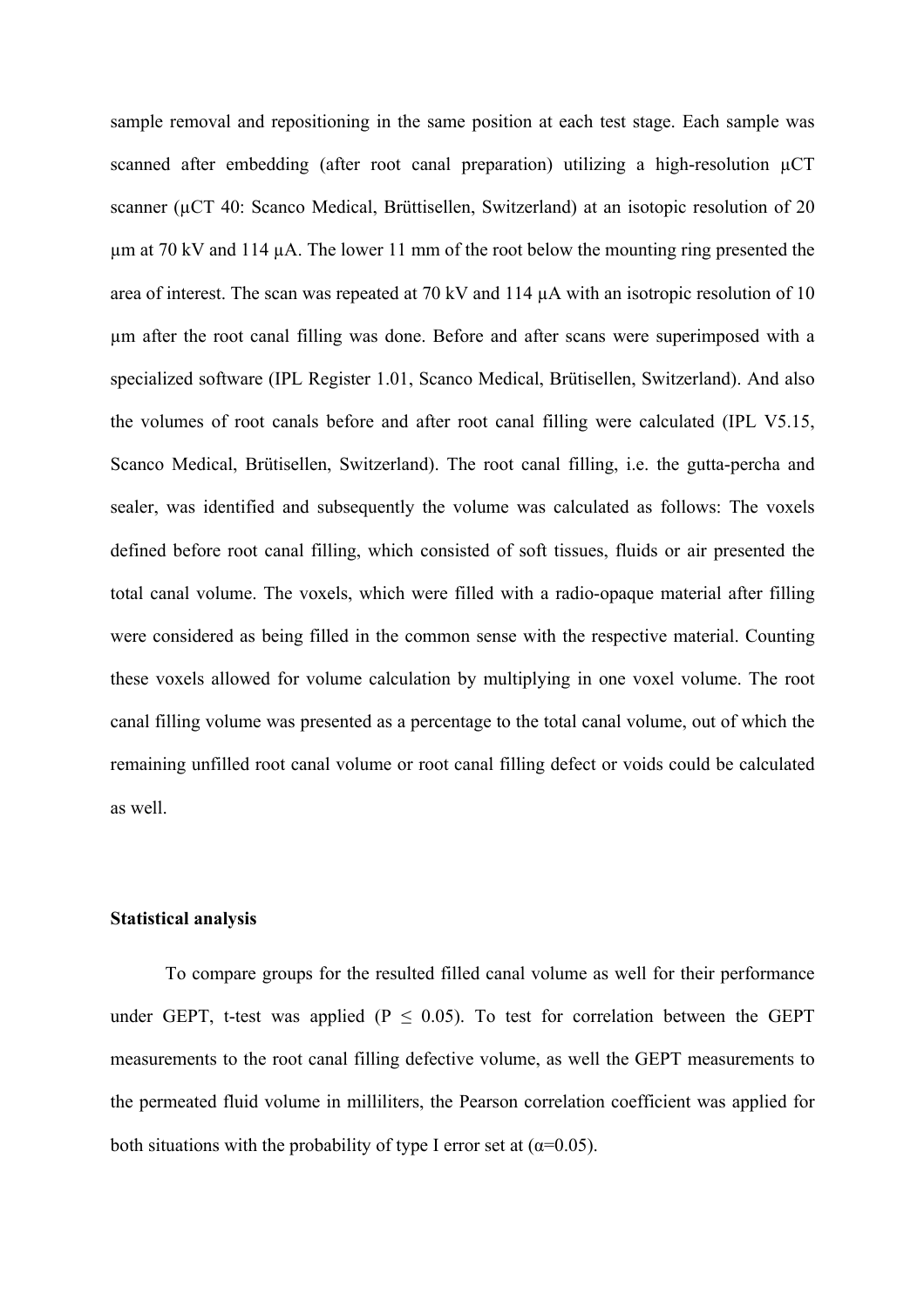sample removal and repositioning in the same position at each test stage. Each sample was scanned after embedding (after root canal preparation) utilizing a high-resolution  $\mu$ CT scanner (µCT 40: Scanco Medical, Brüttisellen, Switzerland) at an isotopic resolution of 20 µm at 70 kV and 114 µA. The lower 11 mm of the root below the mounting ring presented the area of interest. The scan was repeated at 70 kV and 114 µA with an isotropic resolution of 10 µm after the root canal filling was done. Before and after scans were superimposed with a specialized software (IPL Register 1.01, Scanco Medical, Brütisellen, Switzerland). And also the volumes of root canals before and after root canal filling were calculated (IPL V5.15, Scanco Medical, Brütisellen, Switzerland). The root canal filling, i.e. the gutta-percha and sealer, was identified and subsequently the volume was calculated as follows: The voxels defined before root canal filling, which consisted of soft tissues, fluids or air presented the total canal volume. The voxels, which were filled with a radio-opaque material after filling were considered as being filled in the common sense with the respective material. Counting these voxels allowed for volume calculation by multiplying in one voxel volume. The root canal filling volume was presented as a percentage to the total canal volume, out of which the remaining unfilled root canal volume or root canal filling defect or voids could be calculated as well.

#### **Statistical analysis**

To compare groups for the resulted filled canal volume as well for their performance under GEPT, t-test was applied ( $P \le 0.05$ ). To test for correlation between the GEPT measurements to the root canal filling defective volume, as well the GEPT measurements to the permeated fluid volume in milliliters, the Pearson correlation coefficient was applied for both situations with the probability of type I error set at  $(\alpha=0.05)$ .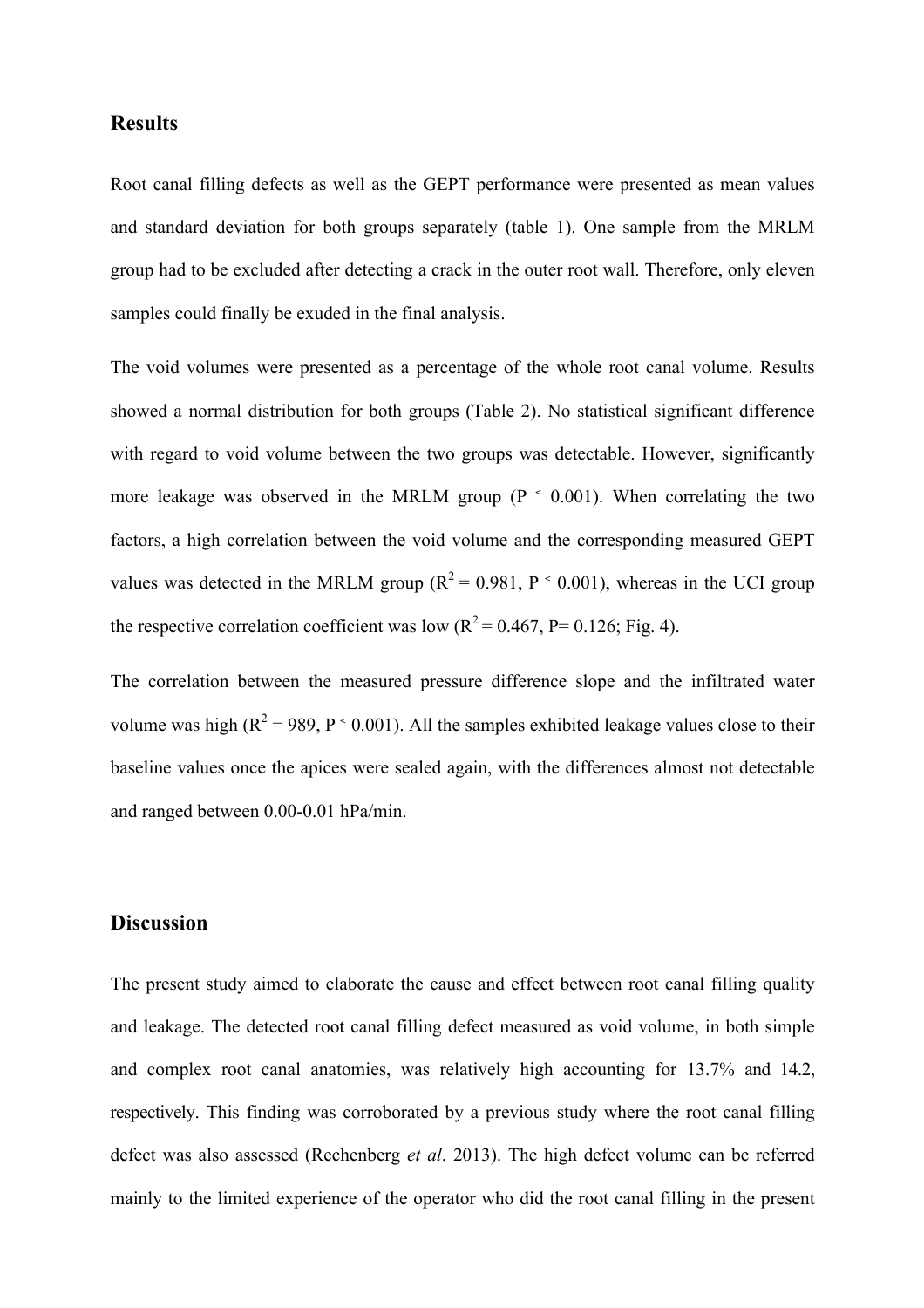# **Results**

Root canal filling defects as well as the GEPT performance were presented as mean values and standard deviation for both groups separately (table 1). One sample from the MRLM group had to be excluded after detecting a crack in the outer root wall. Therefore, only eleven samples could finally be exuded in the final analysis.

The void volumes were presented as a percentage of the whole root canal volume. Results showed a normal distribution for both groups (Table 2). No statistical significant difference with regard to void volume between the two groups was detectable. However, significantly more leakage was observed in the MRLM group ( $P \sim 0.001$ ). When correlating the two factors, a high correlation between the void volume and the corresponding measured GEPT values was detected in the MRLM group ( $R^2 = 0.981$ ,  $P \sim 0.001$ ), whereas in the UCI group the respective correlation coefficient was low  $(R^2 = 0.467, P = 0.126; Fig. 4)$ .

The correlation between the measured pressure difference slope and the infiltrated water volume was high ( $R^2 = 989$ ,  $P \le 0.001$ ). All the samples exhibited leakage values close to their baseline values once the apices were sealed again, with the differences almost not detectable and ranged between 0.00-0.01 hPa/min.

# **Discussion**

The present study aimed to elaborate the cause and effect between root canal filling quality and leakage. The detected root canal filling defect measured as void volume, in both simple and complex root canal anatomies, was relatively high accounting for 13.7% and 14.2, respectively. This finding was corroborated by a previous study where the root canal filling defect was also assessed (Rechenberg *et al*. 2013). The high defect volume can be referred mainly to the limited experience of the operator who did the root canal filling in the present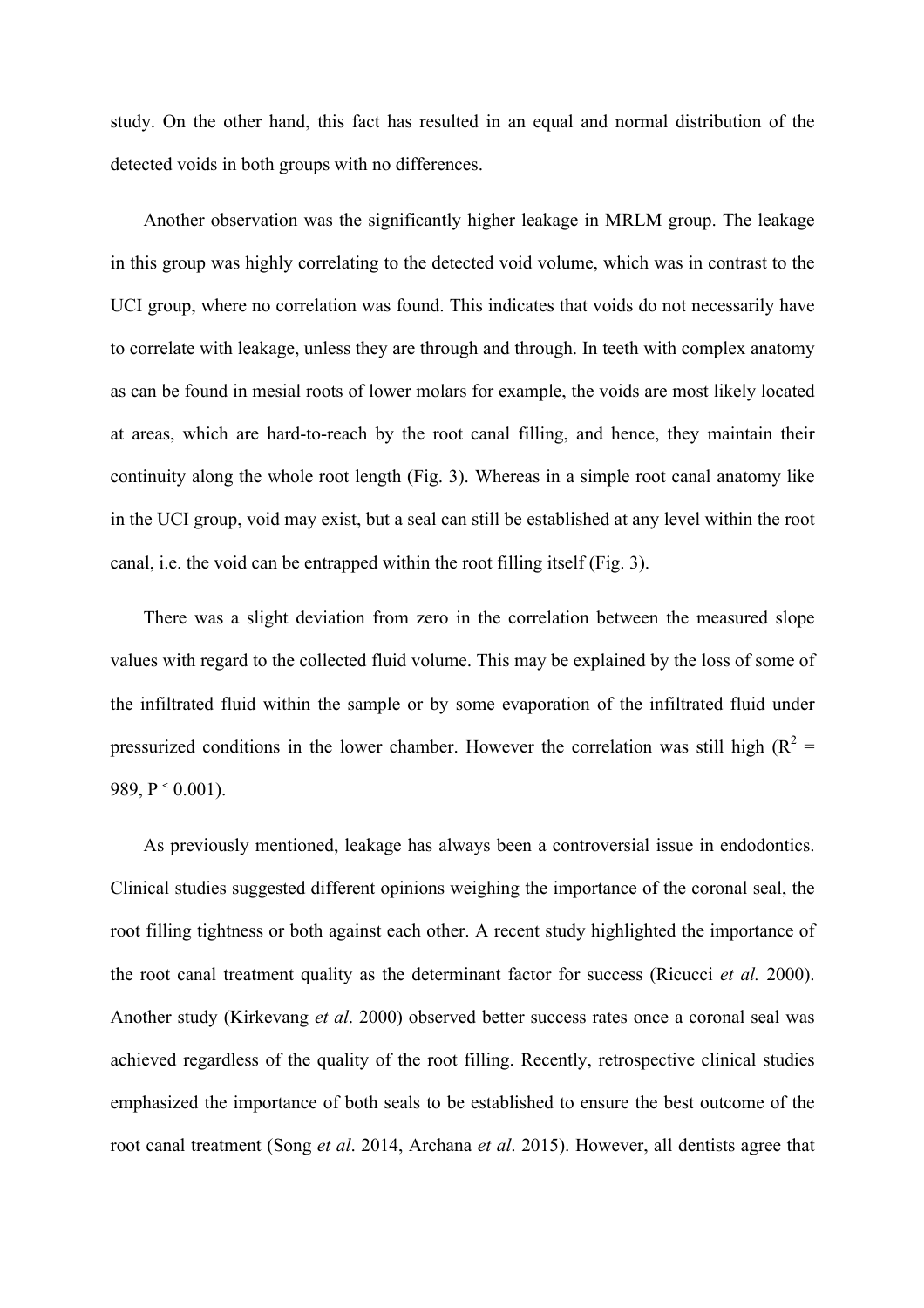study. On the other hand, this fact has resulted in an equal and normal distribution of the detected voids in both groups with no differences.

 Another observation was the significantly higher leakage in MRLM group. The leakage in this group was highly correlating to the detected void volume, which was in contrast to the UCI group, where no correlation was found. This indicates that voids do not necessarily have to correlate with leakage, unless they are through and through. In teeth with complex anatomy as can be found in mesial roots of lower molars for example, the voids are most likely located at areas, which are hard-to-reach by the root canal filling, and hence, they maintain their continuity along the whole root length (Fig. 3). Whereas in a simple root canal anatomy like in the UCI group, void may exist, but a seal can still be established at any level within the root canal, i.e. the void can be entrapped within the root filling itself (Fig. 3).

 There was a slight deviation from zero in the correlation between the measured slope values with regard to the collected fluid volume. This may be explained by the loss of some of the infiltrated fluid within the sample or by some evaporation of the infiltrated fluid under pressurized conditions in the lower chamber. However the correlation was still high ( $R^2$  = 989,  $P \le 0.001$ ).

 As previously mentioned, leakage has always been a controversial issue in endodontics. Clinical studies suggested different opinions weighing the importance of the coronal seal, the root filling tightness or both against each other. A recent study highlighted the importance of the root canal treatment quality as the determinant factor for success (Ricucci *et al.* 2000). Another study (Kirkevang *et al*. 2000) observed better success rates once a coronal seal was achieved regardless of the quality of the root filling. Recently, retrospective clinical studies emphasized the importance of both seals to be established to ensure the best outcome of the root canal treatment (Song *et al*. 2014, Archana *et al*. 2015). However, all dentists agree that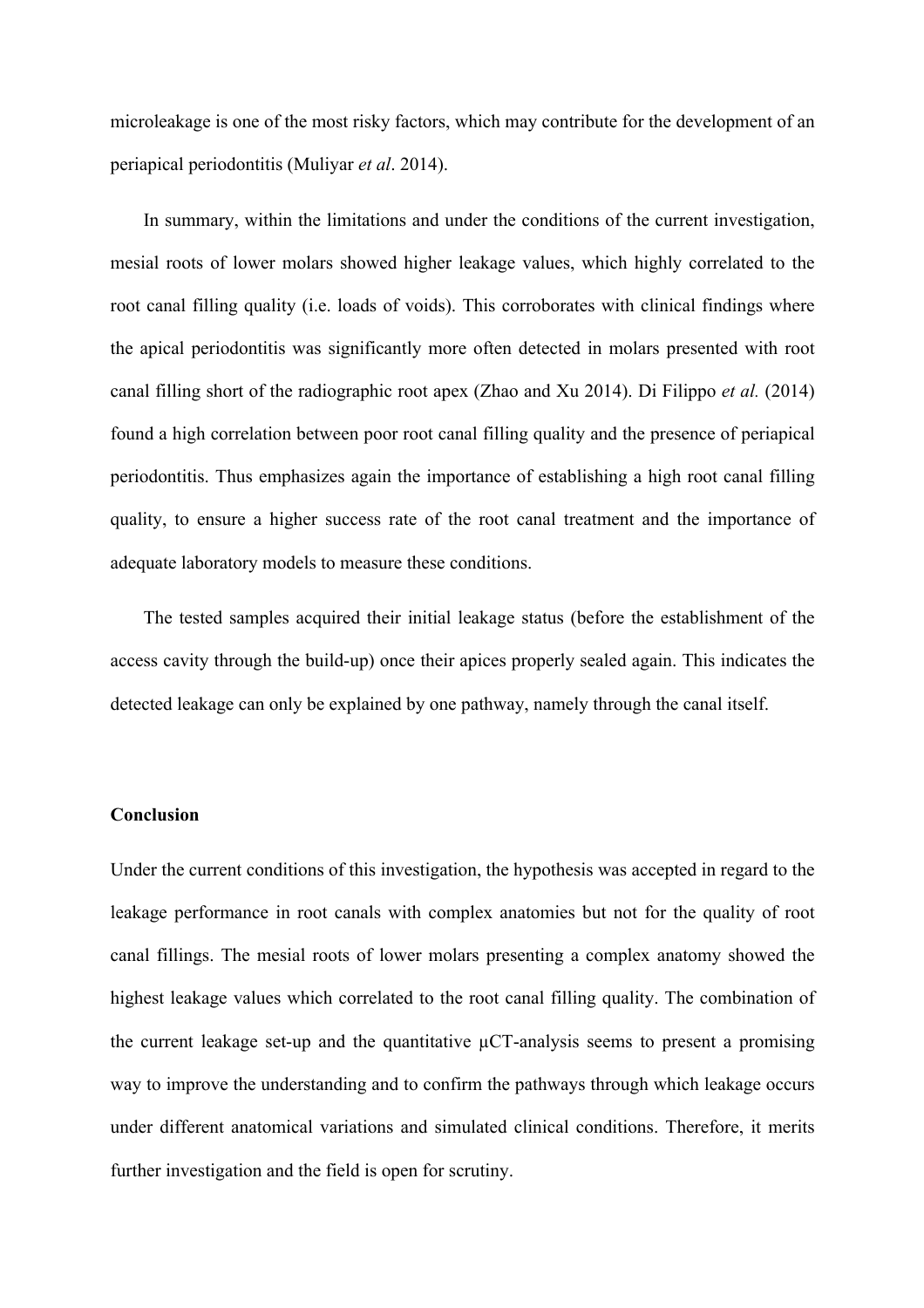microleakage is one of the most risky factors, which may contribute for the development of an periapical periodontitis (Muliyar *et al*. 2014).

 In summary, within the limitations and under the conditions of the current investigation, mesial roots of lower molars showed higher leakage values, which highly correlated to the root canal filling quality (i.e. loads of voids). This corroborates with clinical findings where the apical periodontitis was significantly more often detected in molars presented with root canal filling short of the radiographic root apex (Zhao and Xu 2014). Di Filippo *et al.* (2014) found a high correlation between poor root canal filling quality and the presence of periapical periodontitis. Thus emphasizes again the importance of establishing a high root canal filling quality, to ensure a higher success rate of the root canal treatment and the importance of adequate laboratory models to measure these conditions.

 The tested samples acquired their initial leakage status (before the establishment of the access cavity through the build-up) once their apices properly sealed again. This indicates the detected leakage can only be explained by one pathway, namely through the canal itself.

# **Conclusion**

Under the current conditions of this investigation, the hypothesis was accepted in regard to the leakage performance in root canals with complex anatomies but not for the quality of root canal fillings. The mesial roots of lower molars presenting a complex anatomy showed the highest leakage values which correlated to the root canal filling quality. The combination of the current leakage set-up and the quantitative  $\mu$ CT-analysis seems to present a promising way to improve the understanding and to confirm the pathways through which leakage occurs under different anatomical variations and simulated clinical conditions. Therefore, it merits further investigation and the field is open for scrutiny.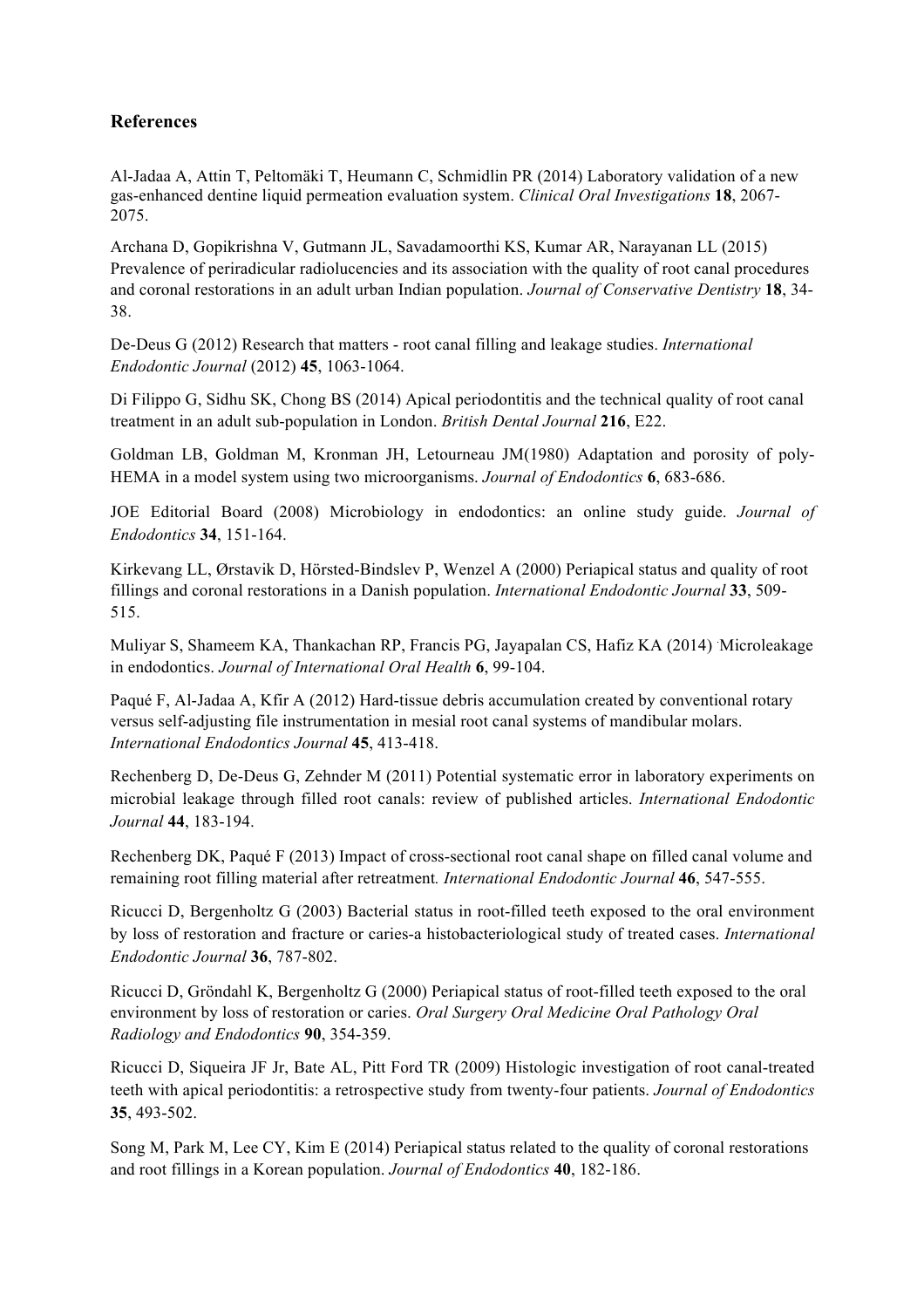# **References**

Al-Jadaa A, Attin T, Peltomäki T, Heumann C, Schmidlin PR (2014) Laboratory validation of a new gas-enhanced dentine liquid permeation evaluation system. *Clinical Oral Investigations* **18**, 2067- 2075.

Archana D, Gopikrishna V, Gutmann JL, Savadamoorthi KS, Kumar AR, Narayanan LL (2015) Prevalence of periradicular radiolucencies and its association with the quality of root canal procedures and coronal restorations in an adult urban Indian population. *Journal of Conservative Dentistry* **18**, 34- 38.

De-Deus G (2012) Research that matters - root canal filling and leakage studies. *International Endodontic Journal* (2012) **45**, 1063-1064.

Di Filippo G, Sidhu SK, Chong BS (2014) Apical periodontitis and the technical quality of root canal treatment in an adult sub-population in London. *British Dental Journal* **216**, E22.

Goldman LB, Goldman M, Kronman JH, Letourneau JM(1980) Adaptation and porosity of poly-HEMA in a model system using two microorganisms. *Journal of Endodontics* **6**, 683-686.

JOE Editorial Board (2008) Microbiology in endodontics: an online study guide. *Journal of Endodontics* **34**, 151-164.

Kirkevang LL, Ørstavik D, Hörsted-Bindslev P, Wenzel A (2000) Periapical status and quality of root fillings and coronal restorations in a Danish population. *International Endodontic Journal* **33**, 509- 515.

Muliyar S, Shameem KA, Thankachan RP, Francis PG, Jayapalan CS, Hafiz KA (2014) Microleakage in endodontics. *Journal of International Oral Health* **6**, 99-104.

Paqué F, Al-Jadaa A, Kfir A (2012) Hard-tissue debris accumulation created by conventional rotary versus self-adjusting file instrumentation in mesial root canal systems of mandibular molars. *International Endodontics Journal* **45**, 413-418.

Rechenberg D, De-Deus G, Zehnder M (2011) Potential systematic error in laboratory experiments on microbial leakage through filled root canals: review of published articles. *International Endodontic Journal* **44**, 183-194.

Rechenberg DK, Paqué F (2013) Impact of cross-sectional root canal shape on filled canal volume and remaining root filling material after retreatment*. International Endodontic Journal* **46**, 547-555.

Ricucci D, Bergenholtz G (2003) Bacterial status in root-filled teeth exposed to the oral environment by loss of restoration and fracture or caries-a histobacteriological study of treated cases. *International Endodontic Journal* **36**, 787-802.

Ricucci D, Gröndahl K, Bergenholtz G (2000) Periapical status of root-filled teeth exposed to the oral environment by loss of restoration or caries. *Oral Surgery Oral Medicine Oral Pathology Oral Radiology and Endodontics* **90**, 354-359.

Ricucci D, Siqueira JF Jr, Bate AL, Pitt Ford TR (2009) Histologic investigation of root canal-treated teeth with apical periodontitis: a retrospective study from twenty-four patients. *Journal of Endodontics* **35**, 493-502.

Song M, Park M, Lee CY, Kim E (2014) Periapical status related to the quality of coronal restorations and root fillings in a Korean population. *Journal of Endodontics* **40**, 182-186.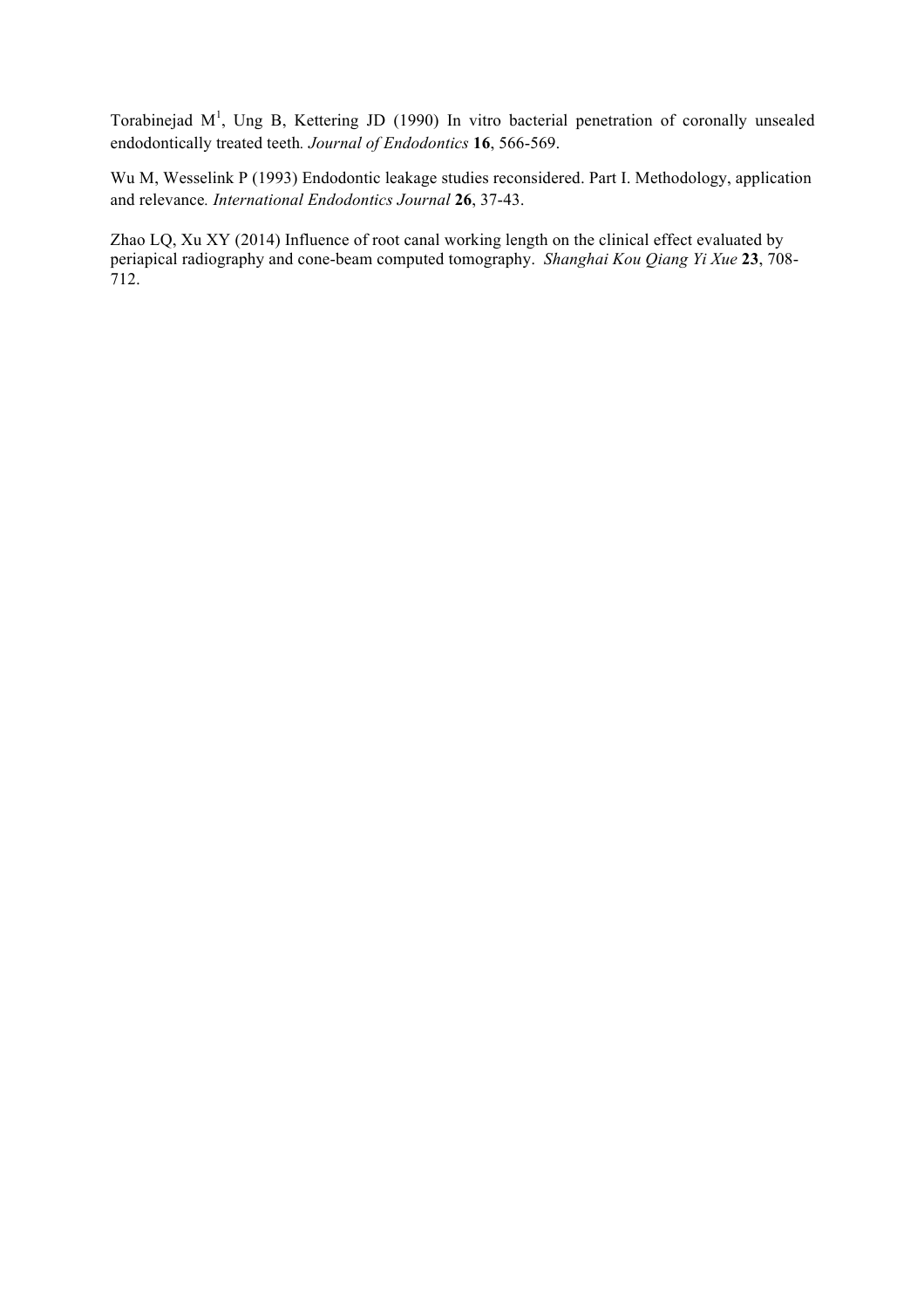Torabinejad  $M<sup>1</sup>$ , Ung B, Kettering JD (1990) In vitro bacterial penetration of coronally unsealed endodontically treated teeth*. Journal of Endodontics* **16**, 566-569.

Wu M, Wesselink P (1993) Endodontic leakage studies reconsidered. Part I. Methodology, application and relevance*. International Endodontics Journal* **26**, 37-43.

Zhao LQ, Xu XY (2014) Influence of root canal working length on the clinical effect evaluated by periapical radiography and cone-beam computed tomography. *Shanghai Kou Qiang Yi Xue* **23**, 708- 712.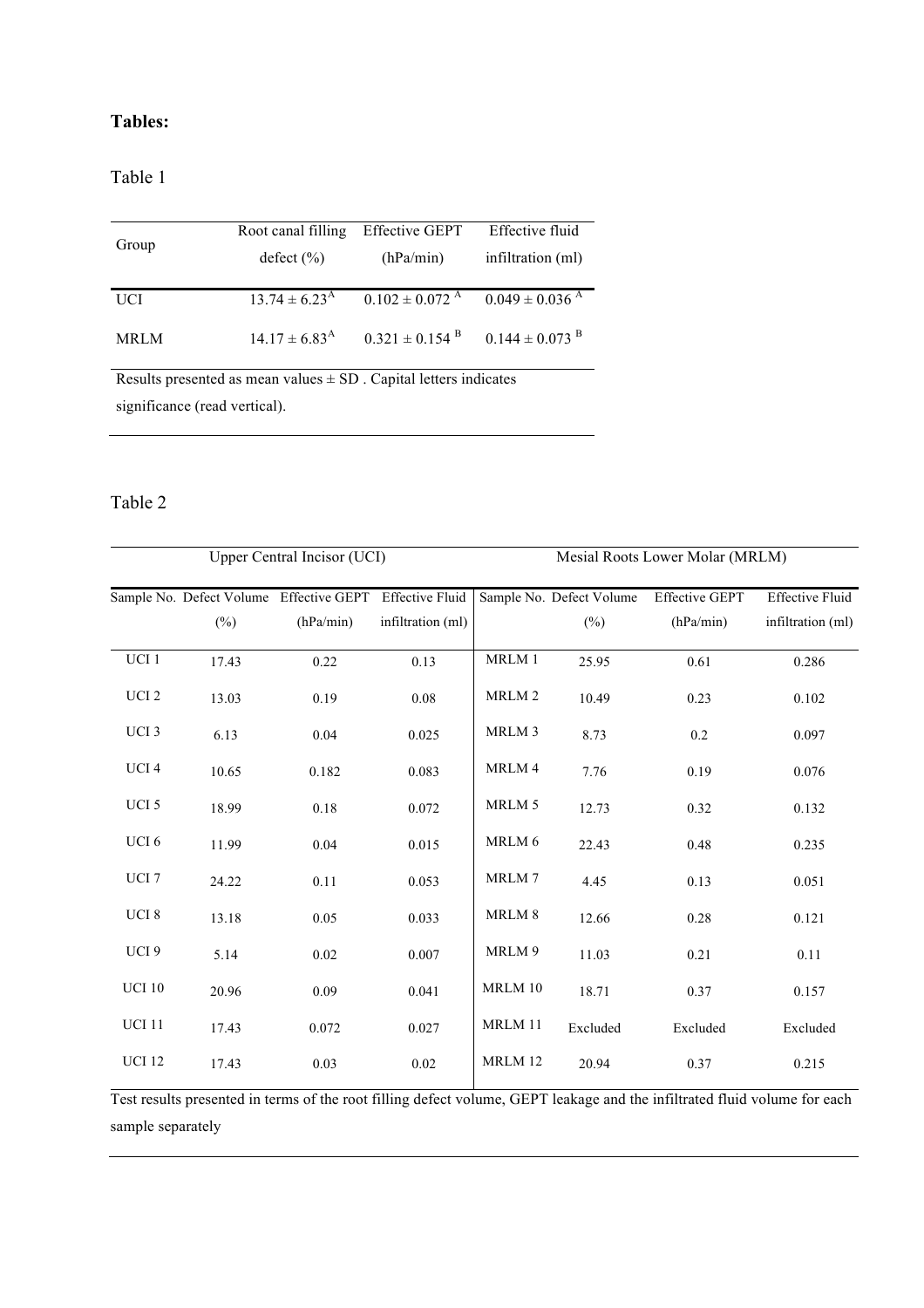# **Tables:**

# Table 1

| Group                                                                       | Root canal filling       | <b>Effective GEPT</b>          | Effective fluid                |  |  |  |  |
|-----------------------------------------------------------------------------|--------------------------|--------------------------------|--------------------------------|--|--|--|--|
|                                                                             | defect (%)               | (hPa/min)                      | infiltration (ml)              |  |  |  |  |
|                                                                             |                          |                                |                                |  |  |  |  |
| <b>UCI</b>                                                                  | $13.74 \pm 6.23^{\rm A}$ | $0.102 \pm 0.072$ <sup>A</sup> | $0.049 \pm 0.036$ <sup>A</sup> |  |  |  |  |
| <b>MRLM</b>                                                                 | $14.17 \pm 6.83^{\rm A}$ | $0.321 \pm 0.154$ <sup>B</sup> | $0.144 \pm 0.073$ <sup>B</sup> |  |  |  |  |
| $D$ caulta procented as mean values $\Box$ $CD$ $C$ on to letters indicates |                          |                                |                                |  |  |  |  |

Results presented as mean values  $\pm$  SD . Capital letters indicates significance (read vertical).

# Table 2

| <b>Upper Central Incisor (UCI)</b> |        |                                                         |                   | Mesial Roots Lower Molar (MRLM) |                          |                       |                        |
|------------------------------------|--------|---------------------------------------------------------|-------------------|---------------------------------|--------------------------|-----------------------|------------------------|
|                                    |        | Sample No. Defect Volume Effective GEPT Effective Fluid |                   |                                 | Sample No. Defect Volume | <b>Effective GEPT</b> | <b>Effective Fluid</b> |
|                                    | $(\%)$ | (hPa/min)                                               | infiltration (ml) |                                 | $(\%)$                   | (hPa/min)             | infiltration (ml)      |
| $\ensuremath{\mathrm{UCI}}$ 1      | 17.43  | 0.22                                                    | 0.13              | MRLM 1                          | 25.95                    | 0.61                  | 0.286                  |
| UCI <sub>2</sub>                   | 13.03  | 0.19                                                    | 0.08              | MRLM <sub>2</sub>               | 10.49                    | 0.23                  | 0.102                  |
| UCI 3                              | 6.13   | 0.04                                                    | 0.025             | MRLM <sub>3</sub>               | 8.73                     | 0.2                   | 0.097                  |
| UCI <sub>4</sub>                   | 10.65  | 0.182                                                   | 0.083             | MRLM 4                          | 7.76                     | 0.19                  | 0.076                  |
| UCI 5                              | 18.99  | 0.18                                                    | 0.072             | MRLM 5                          | 12.73                    | 0.32                  | 0.132                  |
| UCI <sub>6</sub>                   | 11.99  | 0.04                                                    | 0.015             | MRLM 6                          | 22.43                    | 0.48                  | 0.235                  |
| UCI <sub>7</sub>                   | 24.22  | 0.11                                                    | 0.053             | MRLM7                           | 4.45                     | 0.13                  | 0.051                  |
| UCI 8                              | 13.18  | 0.05                                                    | 0.033             | MRLM 8                          | 12.66                    | 0.28                  | 0.121                  |
| UCI <sub>9</sub>                   | 5.14   | 0.02                                                    | 0.007             | MRLM 9                          | 11.03                    | 0.21                  | 0.11                   |
| <b>UCI 10</b>                      | 20.96  | 0.09                                                    | 0.041             | MRLM 10                         | 18.71                    | 0.37                  | 0.157                  |
| <b>UCI 11</b>                      | 17.43  | 0.072                                                   | 0.027             | MRLM 11                         | Excluded                 | Excluded              | Excluded               |
| <b>UCI 12</b>                      | 17.43  | 0.03                                                    | 0.02              | MRLM 12                         | 20.94                    | 0.37                  | 0.215                  |

Test results presented in terms of the root filling defect volume, GEPT leakage and the infiltrated fluid volume for each sample separately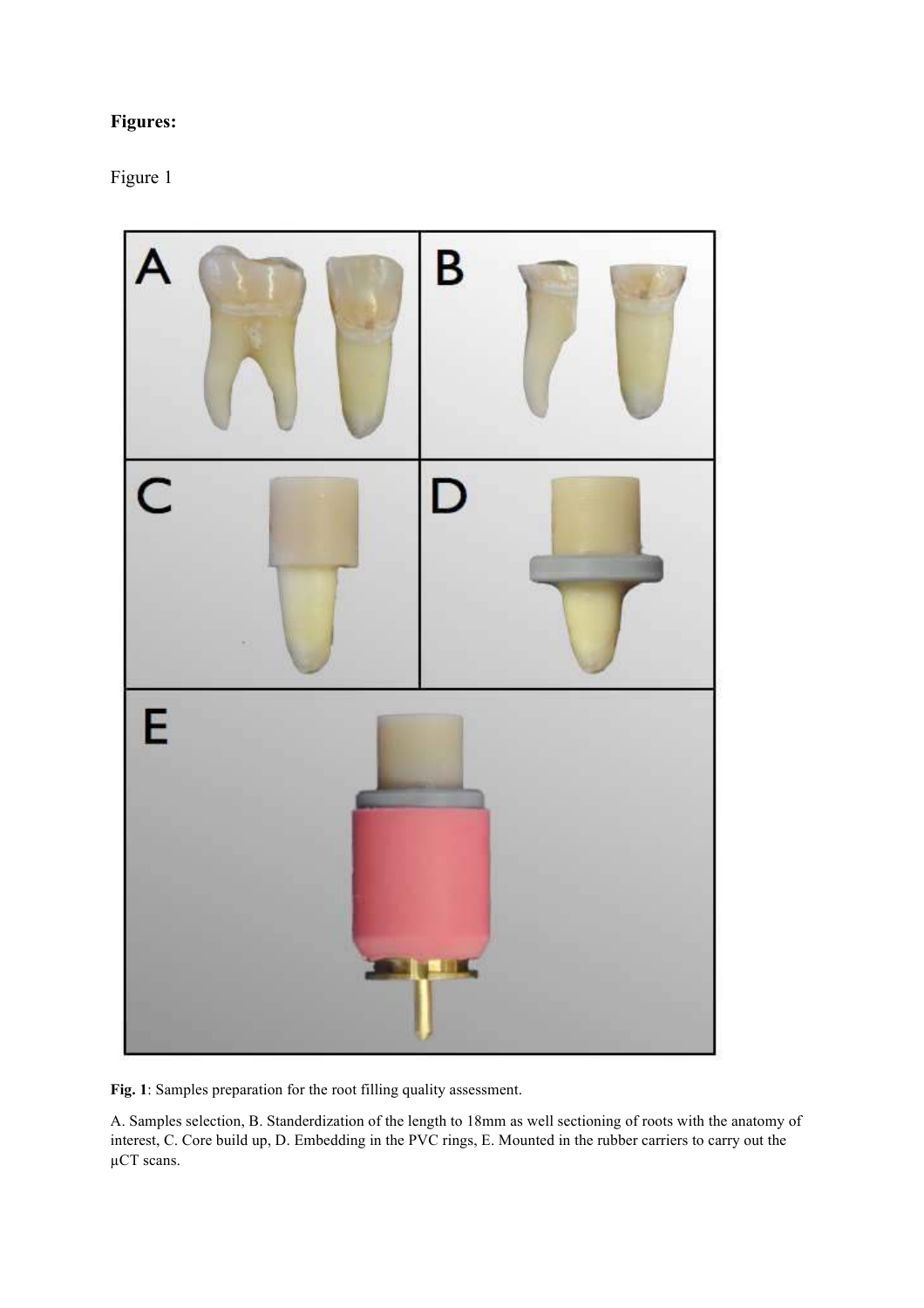# **Figures:**

# Figure 1



**Fig. 1**: Samples preparation for the root filling quality assessment.

A. Samples selection, B. Standerdization of the length to 18mm as well sectioning of roots with the anatomy of interest, C. Core build up, D. Embedding in the PVC rings, E. Mounted in the rubber carriers to carry out the µCT scans.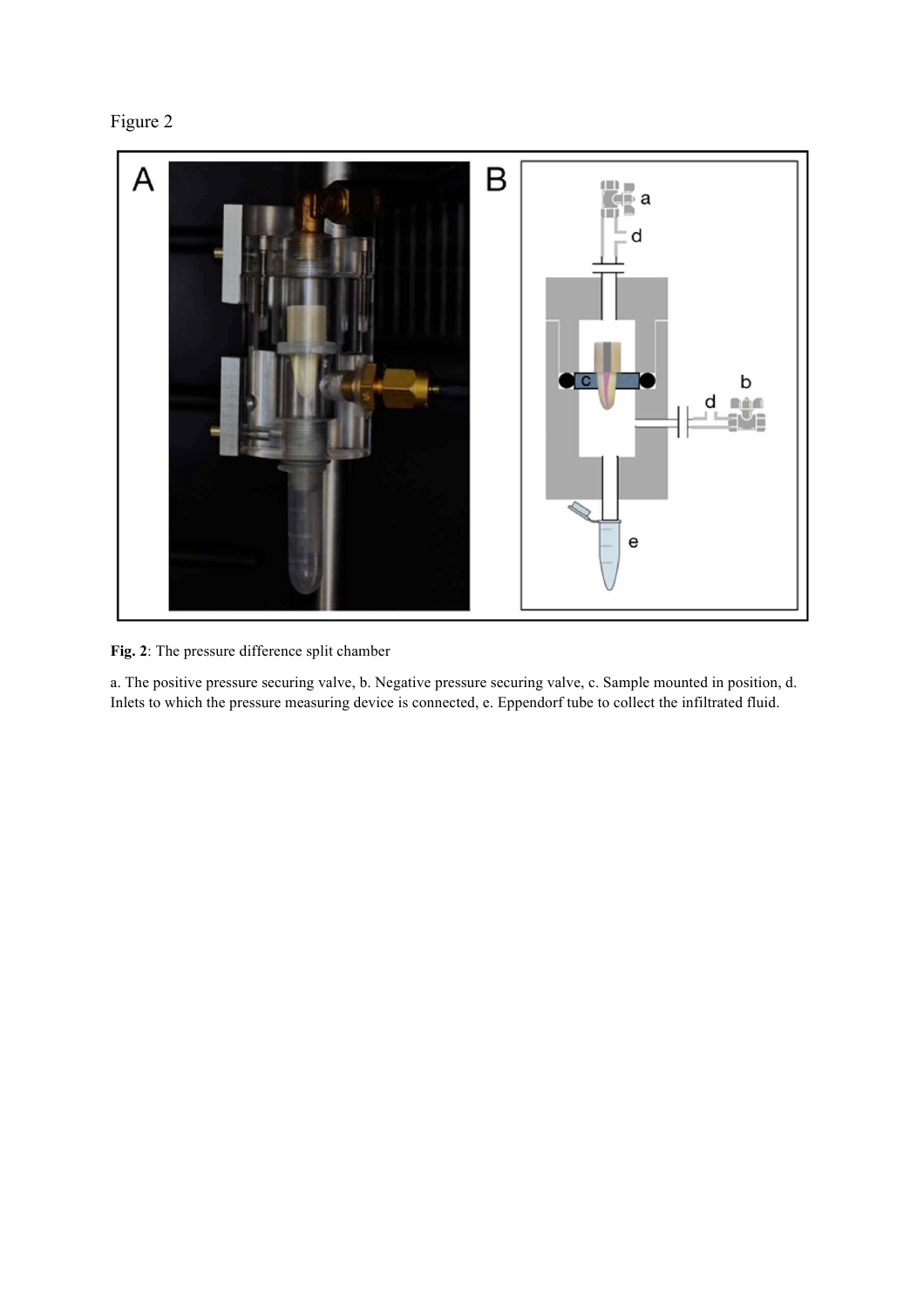



**Fig. 2**: The pressure difference split chamber

a. The positive pressure securing valve, b. Negative pressure securing valve, c. Sample mounted in position, d. Inlets to which the pressure measuring device is connected, e. Eppendorf tube to collect the infiltrated fluid.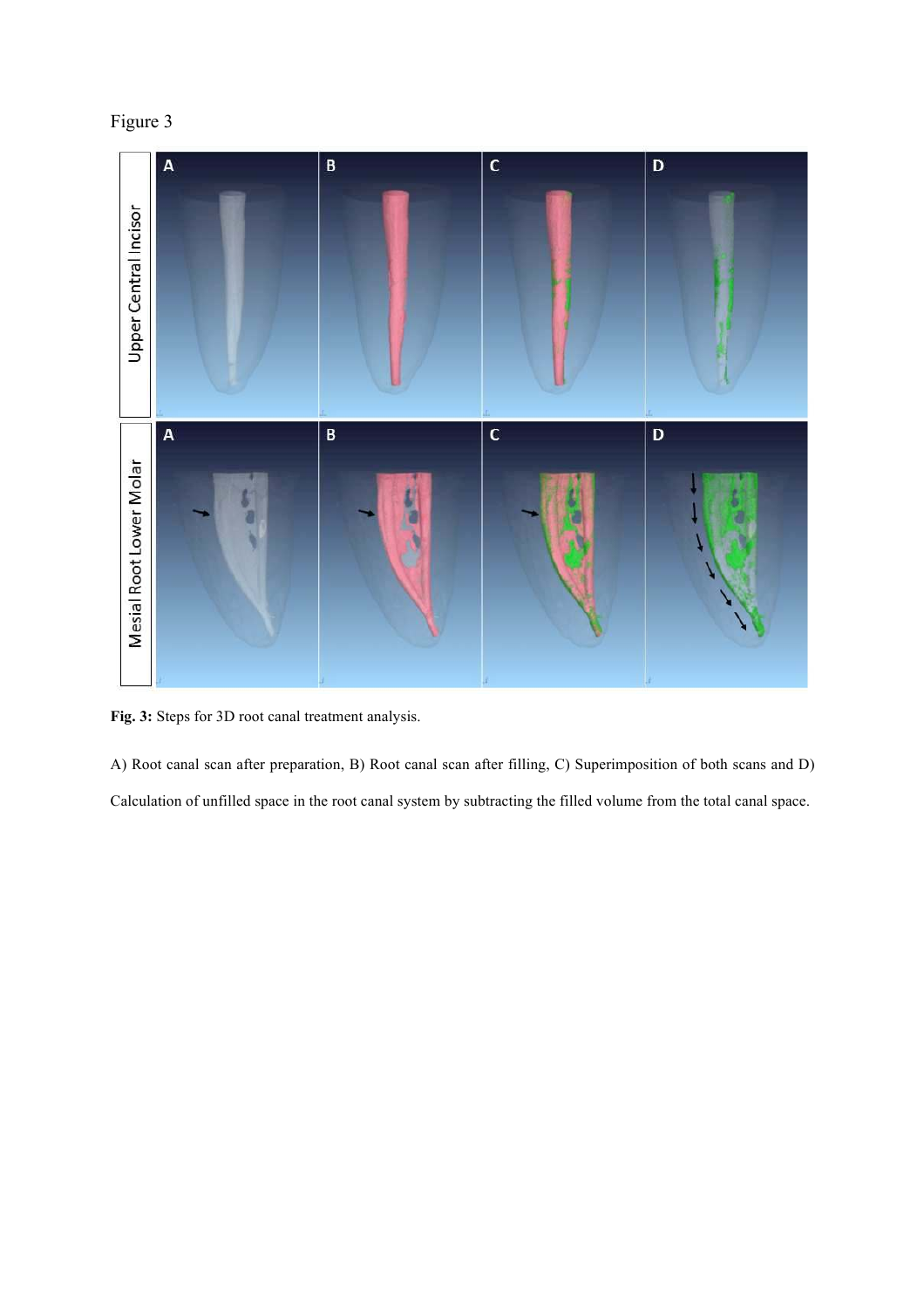



**Fig. 3:** Steps for 3D root canal treatment analysis.

A) Root canal scan after preparation, B) Root canal scan after filling, C) Superimposition of both scans and D) Calculation of unfilled space in the root canal system by subtracting the filled volume from the total canal space.